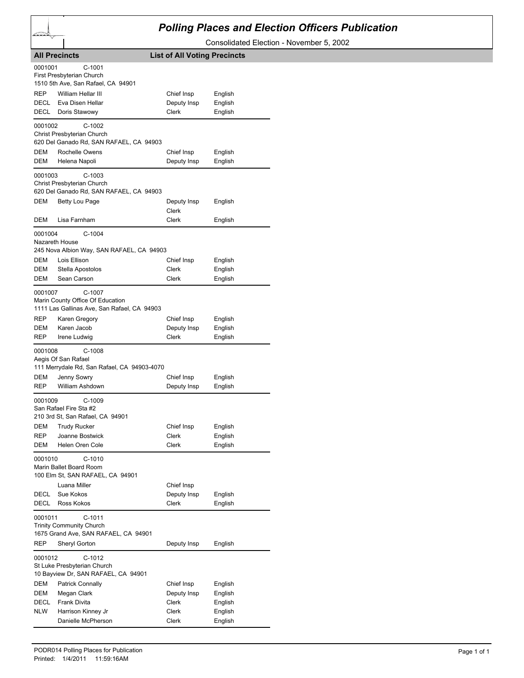## *Polling Places and Election Officers Publication*

Consolidated Election - November 5, 2002

| 0001001<br>$C-1001$<br>First Presbyterian Church<br>1510 5th Ave, San Rafael, CA 94901<br>REP<br>William Hellar III<br>Chief Insp<br>English<br>Eva Disen Hellar<br>DECL<br>Deputy Insp<br>English<br>DECL<br>Doris Stawowy<br>Clerk<br>English<br>0001002<br>C-1002<br>Christ Presbyterian Church<br>620 Del Ganado Rd, SAN RAFAEL, CA 94903<br>DEM<br>Rochelle Owens<br>Chief Insp<br>English<br>DEM<br>Helena Napoli<br>Deputy Insp<br>English<br>$C-1003$<br>0001003<br>Christ Presbyterian Church<br>620 Del Ganado Rd, SAN RAFAEL, CA 94903<br>DEM<br>Betty Lou Page<br>Deputy Insp<br>English<br>Clerk<br>Lisa Farnham<br>Clerk<br>DEM<br>English<br>$C-1004$<br>0001004<br>Nazareth House<br>245 Nova Albion Way, SAN RAFAEL, CA 94903<br>DEM<br>Lois Ellison<br>Chief Insp<br>English<br>DEM<br>Stella Apostolos<br>Clerk<br>English<br>DEM<br>Sean Carson<br>Clerk<br>English<br>C-1007<br>0001007<br>Marin County Office Of Education<br>1111 Las Gallinas Ave, San Rafael, CA 94903<br>REP<br>Karen Gregory<br>Chief Insp<br>English<br>Karen Jacob<br>English<br>DEM<br>Deputy Insp<br>REP<br>Clerk<br>Irene Ludwig<br>English<br>0001008<br>$C-1008$<br>Aegis Of San Rafael<br>111 Merrydale Rd, San Rafael, CA 94903-4070<br>Chief Insp<br>DEM<br>Jenny Sowry<br>English<br>REP<br>William Ashdown<br>Deputy Insp<br>English<br>$C-1009$<br>0001009<br>San Rafael Fire Sta #2<br>210 3rd St, San Rafael, CA 94901<br>DEM<br><b>Trudy Rucker</b><br>Chief Insp<br>English<br>English<br><b>REP</b><br>Joanne Bostwick<br>Clerk<br>DEM<br>Helen Oren Cole<br>English<br>Clerk<br>0001010<br>C-1010<br>Marin Ballet Board Room<br>100 Elm St, SAN RAFAEL, CA 94901<br>Luana Miller<br>Chief Insp<br>DECL<br>Sue Kokos<br>Deputy Insp<br>English<br>Ross Kokos<br>Clerk<br><b>DECL</b><br>English<br>$C-1011$<br>0001011<br><b>Trinity Community Church</b><br>1675 Grand Ave, SAN RAFAEL, CA 94901<br>REP<br>Sheryl Gorton<br>Deputy Insp<br>English<br>C-1012<br>0001012<br>St Luke Presbyterian Church<br>10 Bayview Dr, SAN RAFAEL, CA 94901<br>DEM<br><b>Patrick Connally</b><br>Chief Insp<br>English<br>English<br>DEM<br>Megan Clark<br>Deputy Insp<br>Frank Divita<br>Clerk<br>English<br>DECL<br>Harrison Kinney Jr<br>English<br><b>NLW</b><br>Clerk<br>Danielle McPherson<br>English<br>Clerk | <b>All Precincts</b> | <b>List of All Voting Precincts</b> |  |
|----------------------------------------------------------------------------------------------------------------------------------------------------------------------------------------------------------------------------------------------------------------------------------------------------------------------------------------------------------------------------------------------------------------------------------------------------------------------------------------------------------------------------------------------------------------------------------------------------------------------------------------------------------------------------------------------------------------------------------------------------------------------------------------------------------------------------------------------------------------------------------------------------------------------------------------------------------------------------------------------------------------------------------------------------------------------------------------------------------------------------------------------------------------------------------------------------------------------------------------------------------------------------------------------------------------------------------------------------------------------------------------------------------------------------------------------------------------------------------------------------------------------------------------------------------------------------------------------------------------------------------------------------------------------------------------------------------------------------------------------------------------------------------------------------------------------------------------------------------------------------------------------------------------------------------------------------------------------------------------------------------------------------------------------------------------------------------------------------------------------------------------------------------------------------------------------------------------------------------------------------------------------------------------------------------------------|----------------------|-------------------------------------|--|
|                                                                                                                                                                                                                                                                                                                                                                                                                                                                                                                                                                                                                                                                                                                                                                                                                                                                                                                                                                                                                                                                                                                                                                                                                                                                                                                                                                                                                                                                                                                                                                                                                                                                                                                                                                                                                                                                                                                                                                                                                                                                                                                                                                                                                                                                                                                      |                      |                                     |  |
|                                                                                                                                                                                                                                                                                                                                                                                                                                                                                                                                                                                                                                                                                                                                                                                                                                                                                                                                                                                                                                                                                                                                                                                                                                                                                                                                                                                                                                                                                                                                                                                                                                                                                                                                                                                                                                                                                                                                                                                                                                                                                                                                                                                                                                                                                                                      |                      |                                     |  |
|                                                                                                                                                                                                                                                                                                                                                                                                                                                                                                                                                                                                                                                                                                                                                                                                                                                                                                                                                                                                                                                                                                                                                                                                                                                                                                                                                                                                                                                                                                                                                                                                                                                                                                                                                                                                                                                                                                                                                                                                                                                                                                                                                                                                                                                                                                                      |                      |                                     |  |
|                                                                                                                                                                                                                                                                                                                                                                                                                                                                                                                                                                                                                                                                                                                                                                                                                                                                                                                                                                                                                                                                                                                                                                                                                                                                                                                                                                                                                                                                                                                                                                                                                                                                                                                                                                                                                                                                                                                                                                                                                                                                                                                                                                                                                                                                                                                      |                      |                                     |  |
|                                                                                                                                                                                                                                                                                                                                                                                                                                                                                                                                                                                                                                                                                                                                                                                                                                                                                                                                                                                                                                                                                                                                                                                                                                                                                                                                                                                                                                                                                                                                                                                                                                                                                                                                                                                                                                                                                                                                                                                                                                                                                                                                                                                                                                                                                                                      |                      |                                     |  |
|                                                                                                                                                                                                                                                                                                                                                                                                                                                                                                                                                                                                                                                                                                                                                                                                                                                                                                                                                                                                                                                                                                                                                                                                                                                                                                                                                                                                                                                                                                                                                                                                                                                                                                                                                                                                                                                                                                                                                                                                                                                                                                                                                                                                                                                                                                                      |                      |                                     |  |
|                                                                                                                                                                                                                                                                                                                                                                                                                                                                                                                                                                                                                                                                                                                                                                                                                                                                                                                                                                                                                                                                                                                                                                                                                                                                                                                                                                                                                                                                                                                                                                                                                                                                                                                                                                                                                                                                                                                                                                                                                                                                                                                                                                                                                                                                                                                      |                      |                                     |  |
|                                                                                                                                                                                                                                                                                                                                                                                                                                                                                                                                                                                                                                                                                                                                                                                                                                                                                                                                                                                                                                                                                                                                                                                                                                                                                                                                                                                                                                                                                                                                                                                                                                                                                                                                                                                                                                                                                                                                                                                                                                                                                                                                                                                                                                                                                                                      |                      |                                     |  |
|                                                                                                                                                                                                                                                                                                                                                                                                                                                                                                                                                                                                                                                                                                                                                                                                                                                                                                                                                                                                                                                                                                                                                                                                                                                                                                                                                                                                                                                                                                                                                                                                                                                                                                                                                                                                                                                                                                                                                                                                                                                                                                                                                                                                                                                                                                                      |                      |                                     |  |
|                                                                                                                                                                                                                                                                                                                                                                                                                                                                                                                                                                                                                                                                                                                                                                                                                                                                                                                                                                                                                                                                                                                                                                                                                                                                                                                                                                                                                                                                                                                                                                                                                                                                                                                                                                                                                                                                                                                                                                                                                                                                                                                                                                                                                                                                                                                      |                      |                                     |  |
|                                                                                                                                                                                                                                                                                                                                                                                                                                                                                                                                                                                                                                                                                                                                                                                                                                                                                                                                                                                                                                                                                                                                                                                                                                                                                                                                                                                                                                                                                                                                                                                                                                                                                                                                                                                                                                                                                                                                                                                                                                                                                                                                                                                                                                                                                                                      |                      |                                     |  |
|                                                                                                                                                                                                                                                                                                                                                                                                                                                                                                                                                                                                                                                                                                                                                                                                                                                                                                                                                                                                                                                                                                                                                                                                                                                                                                                                                                                                                                                                                                                                                                                                                                                                                                                                                                                                                                                                                                                                                                                                                                                                                                                                                                                                                                                                                                                      |                      |                                     |  |
|                                                                                                                                                                                                                                                                                                                                                                                                                                                                                                                                                                                                                                                                                                                                                                                                                                                                                                                                                                                                                                                                                                                                                                                                                                                                                                                                                                                                                                                                                                                                                                                                                                                                                                                                                                                                                                                                                                                                                                                                                                                                                                                                                                                                                                                                                                                      |                      |                                     |  |
|                                                                                                                                                                                                                                                                                                                                                                                                                                                                                                                                                                                                                                                                                                                                                                                                                                                                                                                                                                                                                                                                                                                                                                                                                                                                                                                                                                                                                                                                                                                                                                                                                                                                                                                                                                                                                                                                                                                                                                                                                                                                                                                                                                                                                                                                                                                      |                      |                                     |  |
|                                                                                                                                                                                                                                                                                                                                                                                                                                                                                                                                                                                                                                                                                                                                                                                                                                                                                                                                                                                                                                                                                                                                                                                                                                                                                                                                                                                                                                                                                                                                                                                                                                                                                                                                                                                                                                                                                                                                                                                                                                                                                                                                                                                                                                                                                                                      |                      |                                     |  |
|                                                                                                                                                                                                                                                                                                                                                                                                                                                                                                                                                                                                                                                                                                                                                                                                                                                                                                                                                                                                                                                                                                                                                                                                                                                                                                                                                                                                                                                                                                                                                                                                                                                                                                                                                                                                                                                                                                                                                                                                                                                                                                                                                                                                                                                                                                                      |                      |                                     |  |
|                                                                                                                                                                                                                                                                                                                                                                                                                                                                                                                                                                                                                                                                                                                                                                                                                                                                                                                                                                                                                                                                                                                                                                                                                                                                                                                                                                                                                                                                                                                                                                                                                                                                                                                                                                                                                                                                                                                                                                                                                                                                                                                                                                                                                                                                                                                      |                      |                                     |  |
|                                                                                                                                                                                                                                                                                                                                                                                                                                                                                                                                                                                                                                                                                                                                                                                                                                                                                                                                                                                                                                                                                                                                                                                                                                                                                                                                                                                                                                                                                                                                                                                                                                                                                                                                                                                                                                                                                                                                                                                                                                                                                                                                                                                                                                                                                                                      |                      |                                     |  |
|                                                                                                                                                                                                                                                                                                                                                                                                                                                                                                                                                                                                                                                                                                                                                                                                                                                                                                                                                                                                                                                                                                                                                                                                                                                                                                                                                                                                                                                                                                                                                                                                                                                                                                                                                                                                                                                                                                                                                                                                                                                                                                                                                                                                                                                                                                                      |                      |                                     |  |
|                                                                                                                                                                                                                                                                                                                                                                                                                                                                                                                                                                                                                                                                                                                                                                                                                                                                                                                                                                                                                                                                                                                                                                                                                                                                                                                                                                                                                                                                                                                                                                                                                                                                                                                                                                                                                                                                                                                                                                                                                                                                                                                                                                                                                                                                                                                      |                      |                                     |  |
|                                                                                                                                                                                                                                                                                                                                                                                                                                                                                                                                                                                                                                                                                                                                                                                                                                                                                                                                                                                                                                                                                                                                                                                                                                                                                                                                                                                                                                                                                                                                                                                                                                                                                                                                                                                                                                                                                                                                                                                                                                                                                                                                                                                                                                                                                                                      |                      |                                     |  |
|                                                                                                                                                                                                                                                                                                                                                                                                                                                                                                                                                                                                                                                                                                                                                                                                                                                                                                                                                                                                                                                                                                                                                                                                                                                                                                                                                                                                                                                                                                                                                                                                                                                                                                                                                                                                                                                                                                                                                                                                                                                                                                                                                                                                                                                                                                                      |                      |                                     |  |
|                                                                                                                                                                                                                                                                                                                                                                                                                                                                                                                                                                                                                                                                                                                                                                                                                                                                                                                                                                                                                                                                                                                                                                                                                                                                                                                                                                                                                                                                                                                                                                                                                                                                                                                                                                                                                                                                                                                                                                                                                                                                                                                                                                                                                                                                                                                      |                      |                                     |  |
|                                                                                                                                                                                                                                                                                                                                                                                                                                                                                                                                                                                                                                                                                                                                                                                                                                                                                                                                                                                                                                                                                                                                                                                                                                                                                                                                                                                                                                                                                                                                                                                                                                                                                                                                                                                                                                                                                                                                                                                                                                                                                                                                                                                                                                                                                                                      |                      |                                     |  |
|                                                                                                                                                                                                                                                                                                                                                                                                                                                                                                                                                                                                                                                                                                                                                                                                                                                                                                                                                                                                                                                                                                                                                                                                                                                                                                                                                                                                                                                                                                                                                                                                                                                                                                                                                                                                                                                                                                                                                                                                                                                                                                                                                                                                                                                                                                                      |                      |                                     |  |
|                                                                                                                                                                                                                                                                                                                                                                                                                                                                                                                                                                                                                                                                                                                                                                                                                                                                                                                                                                                                                                                                                                                                                                                                                                                                                                                                                                                                                                                                                                                                                                                                                                                                                                                                                                                                                                                                                                                                                                                                                                                                                                                                                                                                                                                                                                                      |                      |                                     |  |
|                                                                                                                                                                                                                                                                                                                                                                                                                                                                                                                                                                                                                                                                                                                                                                                                                                                                                                                                                                                                                                                                                                                                                                                                                                                                                                                                                                                                                                                                                                                                                                                                                                                                                                                                                                                                                                                                                                                                                                                                                                                                                                                                                                                                                                                                                                                      |                      |                                     |  |
|                                                                                                                                                                                                                                                                                                                                                                                                                                                                                                                                                                                                                                                                                                                                                                                                                                                                                                                                                                                                                                                                                                                                                                                                                                                                                                                                                                                                                                                                                                                                                                                                                                                                                                                                                                                                                                                                                                                                                                                                                                                                                                                                                                                                                                                                                                                      |                      |                                     |  |
|                                                                                                                                                                                                                                                                                                                                                                                                                                                                                                                                                                                                                                                                                                                                                                                                                                                                                                                                                                                                                                                                                                                                                                                                                                                                                                                                                                                                                                                                                                                                                                                                                                                                                                                                                                                                                                                                                                                                                                                                                                                                                                                                                                                                                                                                                                                      |                      |                                     |  |
|                                                                                                                                                                                                                                                                                                                                                                                                                                                                                                                                                                                                                                                                                                                                                                                                                                                                                                                                                                                                                                                                                                                                                                                                                                                                                                                                                                                                                                                                                                                                                                                                                                                                                                                                                                                                                                                                                                                                                                                                                                                                                                                                                                                                                                                                                                                      |                      |                                     |  |
|                                                                                                                                                                                                                                                                                                                                                                                                                                                                                                                                                                                                                                                                                                                                                                                                                                                                                                                                                                                                                                                                                                                                                                                                                                                                                                                                                                                                                                                                                                                                                                                                                                                                                                                                                                                                                                                                                                                                                                                                                                                                                                                                                                                                                                                                                                                      |                      |                                     |  |
|                                                                                                                                                                                                                                                                                                                                                                                                                                                                                                                                                                                                                                                                                                                                                                                                                                                                                                                                                                                                                                                                                                                                                                                                                                                                                                                                                                                                                                                                                                                                                                                                                                                                                                                                                                                                                                                                                                                                                                                                                                                                                                                                                                                                                                                                                                                      |                      |                                     |  |
|                                                                                                                                                                                                                                                                                                                                                                                                                                                                                                                                                                                                                                                                                                                                                                                                                                                                                                                                                                                                                                                                                                                                                                                                                                                                                                                                                                                                                                                                                                                                                                                                                                                                                                                                                                                                                                                                                                                                                                                                                                                                                                                                                                                                                                                                                                                      |                      |                                     |  |
|                                                                                                                                                                                                                                                                                                                                                                                                                                                                                                                                                                                                                                                                                                                                                                                                                                                                                                                                                                                                                                                                                                                                                                                                                                                                                                                                                                                                                                                                                                                                                                                                                                                                                                                                                                                                                                                                                                                                                                                                                                                                                                                                                                                                                                                                                                                      |                      |                                     |  |
|                                                                                                                                                                                                                                                                                                                                                                                                                                                                                                                                                                                                                                                                                                                                                                                                                                                                                                                                                                                                                                                                                                                                                                                                                                                                                                                                                                                                                                                                                                                                                                                                                                                                                                                                                                                                                                                                                                                                                                                                                                                                                                                                                                                                                                                                                                                      |                      |                                     |  |
|                                                                                                                                                                                                                                                                                                                                                                                                                                                                                                                                                                                                                                                                                                                                                                                                                                                                                                                                                                                                                                                                                                                                                                                                                                                                                                                                                                                                                                                                                                                                                                                                                                                                                                                                                                                                                                                                                                                                                                                                                                                                                                                                                                                                                                                                                                                      |                      |                                     |  |
|                                                                                                                                                                                                                                                                                                                                                                                                                                                                                                                                                                                                                                                                                                                                                                                                                                                                                                                                                                                                                                                                                                                                                                                                                                                                                                                                                                                                                                                                                                                                                                                                                                                                                                                                                                                                                                                                                                                                                                                                                                                                                                                                                                                                                                                                                                                      |                      |                                     |  |
|                                                                                                                                                                                                                                                                                                                                                                                                                                                                                                                                                                                                                                                                                                                                                                                                                                                                                                                                                                                                                                                                                                                                                                                                                                                                                                                                                                                                                                                                                                                                                                                                                                                                                                                                                                                                                                                                                                                                                                                                                                                                                                                                                                                                                                                                                                                      |                      |                                     |  |
|                                                                                                                                                                                                                                                                                                                                                                                                                                                                                                                                                                                                                                                                                                                                                                                                                                                                                                                                                                                                                                                                                                                                                                                                                                                                                                                                                                                                                                                                                                                                                                                                                                                                                                                                                                                                                                                                                                                                                                                                                                                                                                                                                                                                                                                                                                                      |                      |                                     |  |
|                                                                                                                                                                                                                                                                                                                                                                                                                                                                                                                                                                                                                                                                                                                                                                                                                                                                                                                                                                                                                                                                                                                                                                                                                                                                                                                                                                                                                                                                                                                                                                                                                                                                                                                                                                                                                                                                                                                                                                                                                                                                                                                                                                                                                                                                                                                      |                      |                                     |  |
|                                                                                                                                                                                                                                                                                                                                                                                                                                                                                                                                                                                                                                                                                                                                                                                                                                                                                                                                                                                                                                                                                                                                                                                                                                                                                                                                                                                                                                                                                                                                                                                                                                                                                                                                                                                                                                                                                                                                                                                                                                                                                                                                                                                                                                                                                                                      |                      |                                     |  |
|                                                                                                                                                                                                                                                                                                                                                                                                                                                                                                                                                                                                                                                                                                                                                                                                                                                                                                                                                                                                                                                                                                                                                                                                                                                                                                                                                                                                                                                                                                                                                                                                                                                                                                                                                                                                                                                                                                                                                                                                                                                                                                                                                                                                                                                                                                                      |                      |                                     |  |
|                                                                                                                                                                                                                                                                                                                                                                                                                                                                                                                                                                                                                                                                                                                                                                                                                                                                                                                                                                                                                                                                                                                                                                                                                                                                                                                                                                                                                                                                                                                                                                                                                                                                                                                                                                                                                                                                                                                                                                                                                                                                                                                                                                                                                                                                                                                      |                      |                                     |  |
|                                                                                                                                                                                                                                                                                                                                                                                                                                                                                                                                                                                                                                                                                                                                                                                                                                                                                                                                                                                                                                                                                                                                                                                                                                                                                                                                                                                                                                                                                                                                                                                                                                                                                                                                                                                                                                                                                                                                                                                                                                                                                                                                                                                                                                                                                                                      |                      |                                     |  |
|                                                                                                                                                                                                                                                                                                                                                                                                                                                                                                                                                                                                                                                                                                                                                                                                                                                                                                                                                                                                                                                                                                                                                                                                                                                                                                                                                                                                                                                                                                                                                                                                                                                                                                                                                                                                                                                                                                                                                                                                                                                                                                                                                                                                                                                                                                                      |                      |                                     |  |
|                                                                                                                                                                                                                                                                                                                                                                                                                                                                                                                                                                                                                                                                                                                                                                                                                                                                                                                                                                                                                                                                                                                                                                                                                                                                                                                                                                                                                                                                                                                                                                                                                                                                                                                                                                                                                                                                                                                                                                                                                                                                                                                                                                                                                                                                                                                      |                      |                                     |  |
|                                                                                                                                                                                                                                                                                                                                                                                                                                                                                                                                                                                                                                                                                                                                                                                                                                                                                                                                                                                                                                                                                                                                                                                                                                                                                                                                                                                                                                                                                                                                                                                                                                                                                                                                                                                                                                                                                                                                                                                                                                                                                                                                                                                                                                                                                                                      |                      |                                     |  |
|                                                                                                                                                                                                                                                                                                                                                                                                                                                                                                                                                                                                                                                                                                                                                                                                                                                                                                                                                                                                                                                                                                                                                                                                                                                                                                                                                                                                                                                                                                                                                                                                                                                                                                                                                                                                                                                                                                                                                                                                                                                                                                                                                                                                                                                                                                                      |                      |                                     |  |
|                                                                                                                                                                                                                                                                                                                                                                                                                                                                                                                                                                                                                                                                                                                                                                                                                                                                                                                                                                                                                                                                                                                                                                                                                                                                                                                                                                                                                                                                                                                                                                                                                                                                                                                                                                                                                                                                                                                                                                                                                                                                                                                                                                                                                                                                                                                      |                      |                                     |  |
|                                                                                                                                                                                                                                                                                                                                                                                                                                                                                                                                                                                                                                                                                                                                                                                                                                                                                                                                                                                                                                                                                                                                                                                                                                                                                                                                                                                                                                                                                                                                                                                                                                                                                                                                                                                                                                                                                                                                                                                                                                                                                                                                                                                                                                                                                                                      |                      |                                     |  |
|                                                                                                                                                                                                                                                                                                                                                                                                                                                                                                                                                                                                                                                                                                                                                                                                                                                                                                                                                                                                                                                                                                                                                                                                                                                                                                                                                                                                                                                                                                                                                                                                                                                                                                                                                                                                                                                                                                                                                                                                                                                                                                                                                                                                                                                                                                                      |                      |                                     |  |
|                                                                                                                                                                                                                                                                                                                                                                                                                                                                                                                                                                                                                                                                                                                                                                                                                                                                                                                                                                                                                                                                                                                                                                                                                                                                                                                                                                                                                                                                                                                                                                                                                                                                                                                                                                                                                                                                                                                                                                                                                                                                                                                                                                                                                                                                                                                      |                      |                                     |  |
|                                                                                                                                                                                                                                                                                                                                                                                                                                                                                                                                                                                                                                                                                                                                                                                                                                                                                                                                                                                                                                                                                                                                                                                                                                                                                                                                                                                                                                                                                                                                                                                                                                                                                                                                                                                                                                                                                                                                                                                                                                                                                                                                                                                                                                                                                                                      |                      |                                     |  |
|                                                                                                                                                                                                                                                                                                                                                                                                                                                                                                                                                                                                                                                                                                                                                                                                                                                                                                                                                                                                                                                                                                                                                                                                                                                                                                                                                                                                                                                                                                                                                                                                                                                                                                                                                                                                                                                                                                                                                                                                                                                                                                                                                                                                                                                                                                                      |                      |                                     |  |
|                                                                                                                                                                                                                                                                                                                                                                                                                                                                                                                                                                                                                                                                                                                                                                                                                                                                                                                                                                                                                                                                                                                                                                                                                                                                                                                                                                                                                                                                                                                                                                                                                                                                                                                                                                                                                                                                                                                                                                                                                                                                                                                                                                                                                                                                                                                      |                      |                                     |  |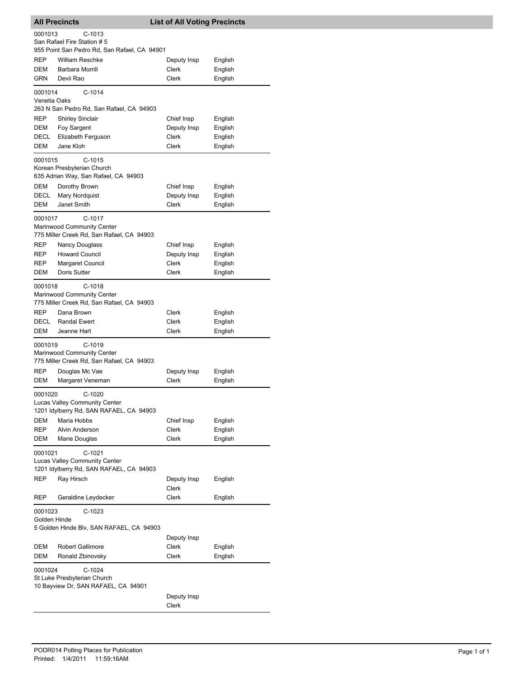| <b>All Precincts</b>    |                                                                                         | <b>List of All Voting Precincts</b> |                    |
|-------------------------|-----------------------------------------------------------------------------------------|-------------------------------------|--------------------|
| 0001013                 | $C-1013$<br>San Rafael Fire Station # 5<br>955 Point San Pedro Rd, San Rafael, CA 94901 |                                     |                    |
| REP<br>DEM              | <b>William Reschke</b><br>Barbara Morrill                                               | Deputy Insp<br>Clerk                | English<br>English |
| GRN                     | Devii Rao                                                                               | Clerk                               | English            |
| 0001014<br>Venetia Oaks | $C-1014$<br>263 N San Pedro Rd, San Rafael, CA 94903                                    |                                     |                    |
| <b>REP</b>              | <b>Shirley Sinclair</b>                                                                 | Chief Insp                          | English            |
| <b>DEM</b><br>DECL      | Foy Sargent<br>Elizabeth Ferguson                                                       | Deputy Insp<br>Clerk                | English<br>English |
| DEM                     | Jane Kloh                                                                               | Clerk                               | English            |
| 0001015                 | $C-1015$<br>Korean Presbyterian Church<br>635 Adrian Way, San Rafael, CA 94903          |                                     |                    |
| <b>DEM</b>              | Dorothy Brown                                                                           | Chief Insp                          | English            |
| DECL                    | Mary Nordquist                                                                          | Deputy Insp                         | English            |
| DEM                     | Janet Smith                                                                             | Clerk                               | English            |
| 0001017                 | C-1017<br>Marinwood Community Center<br>775 Miller Creek Rd, San Rafael, CA 94903       |                                     |                    |
| REP                     | <b>Nancy Douglass</b>                                                                   | Chief Insp                          | English            |
| REP<br>REP              | <b>Howard Council</b><br>Margaret Council                                               | Deputy Insp<br>Clerk                | English<br>English |
| DEM                     | Doris Sutter                                                                            | Clerk                               | English            |
| 0001018                 | $C-1018$<br>Marinwood Community Center<br>775 Miller Creek Rd, San Rafael, CA 94903     |                                     |                    |
| <b>REP</b>              | Dana Brown                                                                              | Clerk                               | English            |
| DECL                    | <b>Randal Ewert</b>                                                                     | Clerk                               | English            |
| DEM                     | Jeanne Hart                                                                             | Clerk                               | English            |
| 0001019                 | C-1019<br>Marinwood Community Center<br>775 Miller Creek Rd, San Rafael, CA 94903       |                                     |                    |
| REP                     | Douglas Mc Vae                                                                          | Deputy Insp                         | English            |
| DEM                     | Margaret Veneman                                                                        | Clerk                               | English            |
| 0001020                 | $C-1020$<br>Lucas Valley Community Center<br>1201 Idylberry Rd, SAN RAFAEL, CA 94903    |                                     |                    |
| DEM<br>REP              | Maria Hobbs<br>Alvin Anderson                                                           | Chief Insp<br>Clerk                 | English<br>English |
| DEM                     | Marie Douglas                                                                           | Clerk                               | English            |
| 0001021                 | C-1021<br>Lucas Valley Community Center<br>1201 Idylberry Rd, SAN RAFAEL, CA 94903      |                                     |                    |
| REP                     | Ray Hirsch                                                                              | Deputy Insp<br>Clerk                | English            |
| REP                     | Geraldine Leydecker                                                                     | <b>Clerk</b>                        | English            |
| 0001023<br>Golden Hinde | $C-1023$<br>5 Golden Hinde Blv, SAN RAFAEL, CA 94903                                    |                                     |                    |
| DEM                     | <b>Robert Gallimore</b>                                                                 | Deputy Insp<br>Clerk                | English            |
| DEM                     | Ronald Zbinovsky                                                                        | Clerk                               | English            |
| 0001024                 | $C-1024$<br>St Luke Presbyterian Church<br>10 Bayview Dr, SAN RAFAEL, CA 94901          | Deputy Insp                         |                    |
|                         |                                                                                         | Clerk                               |                    |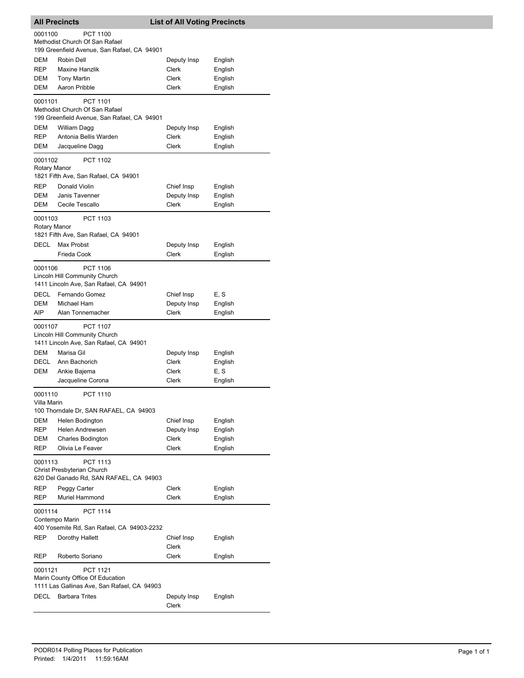|                               | <b>All Precincts</b>                                                                                                                                           | <b>List of All Voting Precincts</b>    |                                       |
|-------------------------------|----------------------------------------------------------------------------------------------------------------------------------------------------------------|----------------------------------------|---------------------------------------|
| 0001100                       | <b>PCT 1100</b><br>Methodist Church Of San Rafael<br>199 Greenfield Avenue, San Rafael, CA 94901                                                               |                                        |                                       |
| <b>DEM</b>                    | Robin Dell                                                                                                                                                     | Deputy Insp                            | English                               |
| <b>REP</b>                    | <b>Maxine Hanzlik</b>                                                                                                                                          | Clerk                                  |                                       |
|                               |                                                                                                                                                                |                                        | English                               |
| DEM                           | <b>Tony Martin</b>                                                                                                                                             | Clerk                                  | English                               |
| DEM                           | Aaron Pribble                                                                                                                                                  | Clerk                                  | English                               |
| 0001101                       | PCT 1101<br>Methodist Church Of San Rafael<br>199 Greenfield Avenue, San Rafael, CA 94901                                                                      |                                        |                                       |
| DEM                           | William Dagg                                                                                                                                                   | Deputy Insp                            | English                               |
| <b>REP</b>                    | Antonia Bellis Warden                                                                                                                                          | Clerk                                  | English                               |
| DEM                           | Jacqueline Dagg                                                                                                                                                | Clerk                                  | English                               |
| 0001102<br>Rotary Manor       | <b>PCT 1102</b>                                                                                                                                                |                                        |                                       |
|                               | 1821 Fifth Ave, San Rafael, CA 94901                                                                                                                           |                                        |                                       |
| <b>REP</b>                    | Donald Violin                                                                                                                                                  | Chief Insp                             | English                               |
| DEM                           | Janis Tavenner                                                                                                                                                 | Deputy Insp                            | English                               |
| DEM                           | Cecile Tescallo                                                                                                                                                | Clerk                                  | English                               |
| 0001103<br>Rotary Manor       | PCT 1103<br>1821 Fifth Ave, San Rafael, CA 94901                                                                                                               |                                        |                                       |
| <b>DECL</b>                   | Max Probst                                                                                                                                                     | Deputy Insp                            | English                               |
|                               | Frieda Cook                                                                                                                                                    | Clerk                                  | English                               |
| 0001106                       | <b>PCT 1106</b><br>Lincoln Hill Community Church<br>1411 Lincoln Ave, San Rafael, CA 94901                                                                     |                                        |                                       |
| <b>DECL</b>                   | Fernando Gomez                                                                                                                                                 | Chief Insp                             | E, S                                  |
| DEM                           | Michael Ham                                                                                                                                                    | Deputy Insp                            | English                               |
| AIP                           | Alan Tonnemacher                                                                                                                                               | Clerk                                  | English                               |
| 0001107<br>DEM<br>DECL<br>DEM | <b>PCT 1107</b><br>Lincoln Hill Community Church<br>1411 Lincoln Ave, San Rafael, CA 94901<br>Marisa Gil<br>Ann Bachorich<br>Ankie Bajema<br>Jacqueline Corona | Deputy Insp<br>Clerk<br>Clerk<br>Clerk | English<br>English<br>E, S<br>English |
|                               |                                                                                                                                                                |                                        |                                       |
| 0001110<br>Villa Marin<br>DEM | <b>PCT 1110</b><br>100 Thorndale Dr, SAN RAFAEL, CA 94903<br>Helen Bodington                                                                                   | Chief Insp                             | English                               |
| <b>REP</b>                    | Helen Andrewsen                                                                                                                                                | Deputy Insp                            | English                               |
| DEM                           | <b>Charles Bodington</b>                                                                                                                                       | Clerk                                  | English                               |
| <b>REP</b>                    | Olivia Le Feaver                                                                                                                                               | Clerk                                  | English                               |
| 0001113<br><b>REP</b>         | PCT 1113<br>Christ Presbyterian Church<br>620 Del Ganado Rd, SAN RAFAEL, CA 94903<br>Peggy Carter                                                              | Clerk                                  | English                               |
| REP                           | Muriel Hammond                                                                                                                                                 | Clerk                                  | English                               |
|                               |                                                                                                                                                                |                                        |                                       |
| 0001114<br>REP                | <b>PCT 1114</b><br>Contempo Marin<br>400 Yosemite Rd, San Rafael, CA 94903-2232<br>Dorothy Hallett                                                             | Chief Insp                             | English                               |
|                               |                                                                                                                                                                | Clerk                                  |                                       |
| REP                           | Roberto Soriano                                                                                                                                                | Clerk                                  | English                               |
| 0001121<br>DECL               | <b>PCT 1121</b><br>Marin County Office Of Education<br>1111 Las Gallinas Ave, San Rafael, CA 94903<br><b>Barbara Trites</b>                                    | Deputy Insp                            | English                               |
|                               |                                                                                                                                                                | Clerk                                  |                                       |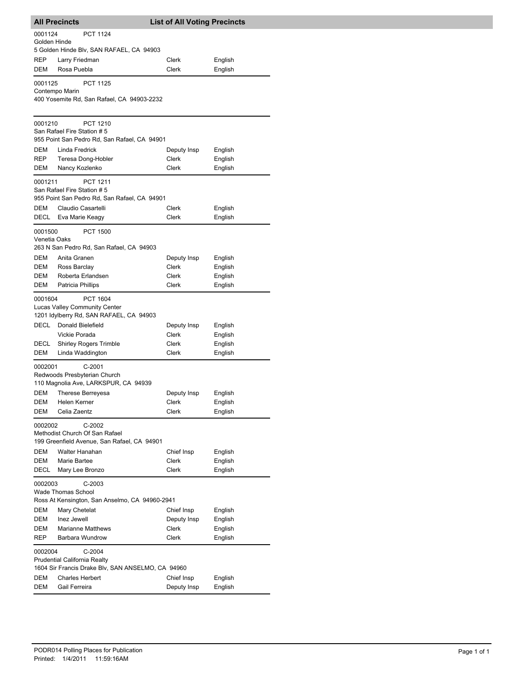|                   | <b>All Precincts</b>                              | <b>List of All Voting Precincts</b> |                    |
|-------------------|---------------------------------------------------|-------------------------------------|--------------------|
| 0001124           | <b>PCT 1124</b>                                   |                                     |                    |
| Golden Hinde      | 5 Golden Hinde Blv, SAN RAFAEL, CA 94903          |                                     |                    |
| REP               | Larry Friedman                                    | Clerk                               | English            |
| DEM               | Rosa Puebla                                       | Clerk                               | English            |
|                   |                                                   |                                     |                    |
| 0001125           | <b>PCT 1125</b><br>Contempo Marin                 |                                     |                    |
|                   | 400 Yosemite Rd, San Rafael, CA 94903-2232        |                                     |                    |
|                   |                                                   |                                     |                    |
| 0001210           | <b>PCT 1210</b>                                   |                                     |                    |
|                   | San Rafael Fire Station # 5                       |                                     |                    |
|                   | 955 Point San Pedro Rd, San Rafael, CA 94901      |                                     |                    |
| DEM<br><b>REP</b> | Linda Fredrick<br>Teresa Dong-Hobler              | Deputy Insp<br>Clerk                | English<br>English |
| DEM               | Nancy Kozlenko                                    | Clerk                               | English            |
|                   |                                                   |                                     |                    |
| 0001211           | <b>PCT 1211</b><br>San Rafael Fire Station # 5    |                                     |                    |
|                   | 955 Point San Pedro Rd, San Rafael, CA 94901      |                                     |                    |
| DEM               | Claudio Casartelli                                | Clerk                               | English            |
| DECL              | Eva Marie Keagy                                   | Clerk                               | English            |
| 0001500           | <b>PCT 1500</b>                                   |                                     |                    |
| Venetia Oaks      |                                                   |                                     |                    |
|                   | 263 N San Pedro Rd, San Rafael, CA 94903          |                                     |                    |
| DEM<br>DEM        | Anita Granen<br>Ross Barclay                      | Deputy Insp<br>Clerk                | English<br>English |
| DEM               | Roberta Erlandsen                                 | Clerk                               | English            |
| DEM               | Patricia Phillips                                 | Clerk                               | English            |
| 0001604           | <b>PCT 1604</b>                                   |                                     |                    |
|                   | <b>Lucas Valley Community Center</b>              |                                     |                    |
|                   | 1201 Idylberry Rd, SAN RAFAEL, CA 94903           |                                     |                    |
| <b>DECL</b>       | Donald Bielefield                                 | Deputy Insp                         | English            |
|                   | Vickie Porada                                     | Clerk                               | English            |
| DECL<br>DEM       | <b>Shirley Rogers Trimble</b><br>Linda Waddington | Clerk<br><b>Clerk</b>               | English<br>English |
|                   |                                                   |                                     |                    |
| 0002001           | $C-2001$<br>Redwoods Presbyterian Church          |                                     |                    |
|                   | 110 Magnolia Ave, LARKSPUR, CA 94939              |                                     |                    |
| DEM               | Therese Berreyesa                                 | Deputy Insp                         | English            |
| DEM               | Helen Kerner                                      | Clerk                               | English            |
| DEM               | Celia Zaentz                                      | Clerk                               | English            |
| 0002002           | C-2002                                            |                                     |                    |
|                   | Methodist Church Of San Rafael                    |                                     |                    |
|                   | 199 Greenfield Avenue, San Rafael, CA 94901       |                                     |                    |
| DEM<br>DEM        | Walter Hanahan<br>Marie Bartee                    | Chief Insp<br>Clerk                 | English<br>English |
| <b>DECL</b>       | Mary Lee Bronzo                                   | Clerk                               | English            |
|                   |                                                   |                                     |                    |
| 0002003           | $C-2003$<br><b>Wade Thomas School</b>             |                                     |                    |
|                   | Ross At Kensington, San Anselmo, CA 94960-2941    |                                     |                    |
| DEM               | Mary Chetelat                                     | Chief Insp                          | English            |
| DEM               | Inez Jewell                                       | Deputy Insp                         | English            |
| <b>DEM</b>        | <b>Marianne Matthews</b>                          | Clerk                               | English            |
| <b>REP</b>        | Barbara Wundrow                                   | Clerk                               | English            |
| 0002004           | $C-2004$                                          |                                     |                    |
|                   | <b>Prudential California Realty</b>               |                                     |                    |
|                   | 1604 Sir Francis Drake Blv, SAN ANSELMO, CA 94960 |                                     |                    |
| DEM<br>DEM        | <b>Charles Herbert</b><br>Gail Ferreira           | Chief Insp<br>Deputy Insp           | English<br>English |
|                   |                                                   |                                     |                    |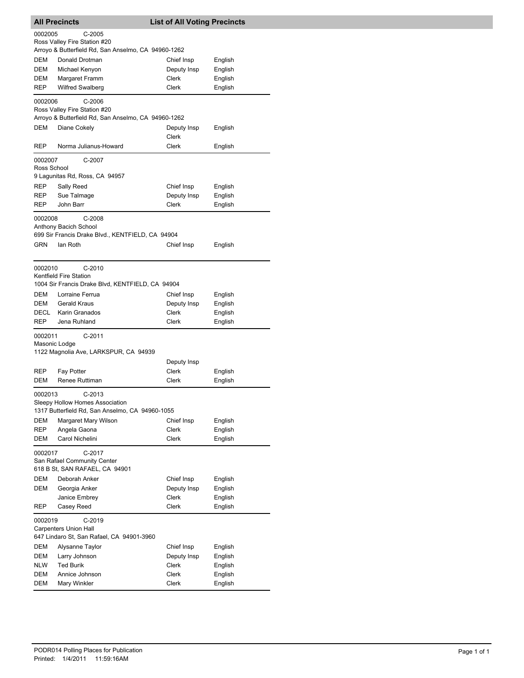|             | <b>All Precincts</b>                                                                | <b>List of All Voting Precincts</b> |                    |
|-------------|-------------------------------------------------------------------------------------|-------------------------------------|--------------------|
| 0002005     | $C-2005$                                                                            |                                     |                    |
|             | Ross Valley Fire Station #20                                                        |                                     |                    |
|             | Arroyo & Butterfield Rd, San Anselmo, CA 94960-1262                                 |                                     |                    |
| DEM         | Donald Drotman                                                                      | Chief Insp                          | English            |
| DEM<br>DEM  | Michael Kenyon                                                                      | Deputy Insp<br>Clerk                | English<br>English |
| REP         | Margaret Framm<br><b>Wilfred Swalberg</b>                                           | <b>Clerk</b>                        | English            |
|             |                                                                                     |                                     |                    |
| 0002006     | $C-2006$                                                                            |                                     |                    |
|             | Ross Valley Fire Station #20<br>Arroyo & Butterfield Rd, San Anselmo, CA 94960-1262 |                                     |                    |
| <b>DEM</b>  | Diane Cokely                                                                        | Deputy Insp                         | English            |
|             |                                                                                     | Clerk                               |                    |
| REP         | Norma Julianus-Howard                                                               | Clerk                               | English            |
| 0002007     | C-2007                                                                              |                                     |                    |
| Ross School |                                                                                     |                                     |                    |
|             | 9 Lagunitas Rd, Ross, CA 94957                                                      |                                     |                    |
| <b>REP</b>  | Sally Reed                                                                          | Chief Insp                          | English            |
| REP         | Sue Talmage                                                                         | Deputy Insp                         | English            |
| REP         | John Barr                                                                           | Clerk                               | English            |
| 0002008     | $C-2008$                                                                            |                                     |                    |
|             | Anthony Bacich School                                                               |                                     |                    |
|             | 699 Sir Francis Drake Blvd., KENTFIELD, CA 94904                                    |                                     |                    |
| GRN         | lan Roth                                                                            | Chief Insp                          | English            |
|             |                                                                                     |                                     |                    |
| 0002010     | $C-2010$                                                                            |                                     |                    |
|             | Kentfield Fire Station<br>1004 Sir Francis Drake Blvd, KENTFIELD, CA 94904          |                                     |                    |
| <b>DEM</b>  |                                                                                     |                                     |                    |
| DEM         | Lorraine Ferrua<br><b>Gerald Kraus</b>                                              | Chief Insp<br>Deputy Insp           | English<br>English |
| DECL        | Karin Granados                                                                      | Clerk                               | English            |
| <b>REP</b>  | Jena Ruhland                                                                        | Clerk                               | English            |
| 0002011     | $C-2011$                                                                            |                                     |                    |
|             | Masonic Lodge                                                                       |                                     |                    |
|             | 1122 Magnolia Ave, LARKSPUR, CA 94939                                               |                                     |                    |
|             |                                                                                     | Deputy Insp                         |                    |
| REP         | Fay Potter                                                                          | <b>Clerk</b>                        | English            |
| DEM         | Renee Ruttiman                                                                      | Clerk                               | English            |
| 0002013     | $C-2013$                                                                            |                                     |                    |
|             | Sleepy Hollow Homes Association                                                     |                                     |                    |
|             | 1317 Butterfield Rd, San Anselmo, CA 94960-1055                                     |                                     |                    |
| DEM         | Margaret Mary Wilson                                                                | Chief Insp                          | English            |
| REP         | Angela Gaona                                                                        | <b>Clerk</b>                        | English            |
| DEM         | Carol Nichelini                                                                     | <b>Clerk</b>                        | English            |
| 0002017     | C-2017                                                                              |                                     |                    |
|             | San Rafael Community Center                                                         |                                     |                    |
|             | 618 B St, SAN RAFAEL, CA 94901                                                      |                                     |                    |
| DEM         | Deborah Anker                                                                       | Chief Insp                          | English            |
| DEM         | Georgia Anker                                                                       | Deputy Insp                         | English            |
| REP         | Janice Embrey<br>Casey Reed                                                         | Clerk<br>Clerk                      | English            |
|             |                                                                                     |                                     | English            |
| 0002019     | $C-2019$                                                                            |                                     |                    |
|             | <b>Carpenters Union Hall</b>                                                        |                                     |                    |
| DEM         | 647 Lindaro St, San Rafael, CA 94901-3960<br>Alysanne Taylor                        | Chief Insp                          |                    |
| DEM         | Larry Johnson                                                                       | Deputy Insp                         | English<br>English |
| NLW         | <b>Ted Burik</b>                                                                    | Clerk                               | English            |
| DEM         | Annice Johnson                                                                      | Clerk                               | English            |
| DEM         | Mary Winkler                                                                        | Clerk                               | English            |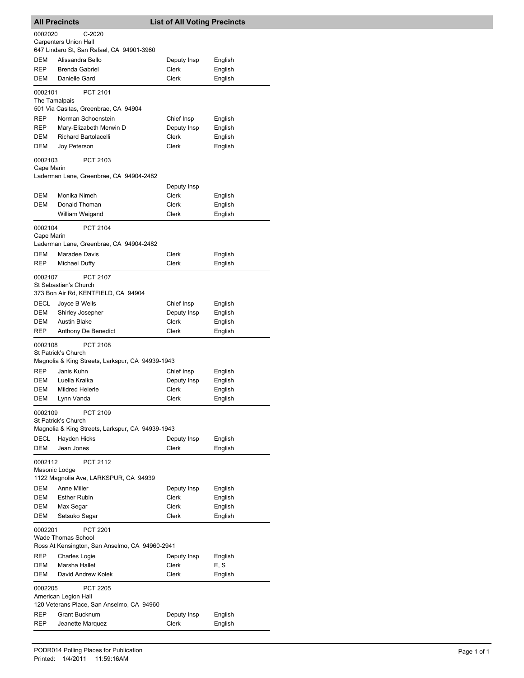|                          | <b>All Precincts</b>                                                                           | <b>List of All Voting Precincts</b> |                    |
|--------------------------|------------------------------------------------------------------------------------------------|-------------------------------------|--------------------|
| 0002020                  | $C-2020$                                                                                       |                                     |                    |
|                          | <b>Carpenters Union Hall</b><br>647 Lindaro St, San Rafael, CA 94901-3960                      |                                     |                    |
| DEM                      | Alissandra Bello                                                                               | Deputy Insp                         | English            |
| <b>REP</b>               | <b>Brenda Gabriel</b>                                                                          | Clerk                               | English            |
| DEM                      | Danielle Gard                                                                                  | Clerk                               | English            |
| 0002101<br>The Tamalpais | PCT 2101                                                                                       |                                     |                    |
|                          | 501 Via Casitas, Greenbrae, CA 94904                                                           |                                     |                    |
| REP                      | Norman Schoenstein                                                                             | Chief Insp                          | English            |
| REP                      | Mary-Elizabeth Merwin D                                                                        | Deputy Insp                         | English            |
| DEM<br>DEM               | <b>Richard Bartolacelli</b><br>Joy Peterson                                                    | Clerk<br>Clerk                      | English<br>English |
| 0002103                  | PCT 2103                                                                                       |                                     |                    |
| Cape Marin               |                                                                                                |                                     |                    |
|                          | Laderman Lane, Greenbrae, CA 94904-2482                                                        | Deputy Insp                         |                    |
| DEM                      | Monika Nimeh                                                                                   | Clerk                               | English            |
| DEM                      | Donald Thoman                                                                                  | Clerk                               | English            |
|                          | William Weigand                                                                                | Clerk                               | English            |
| 0002104<br>Cape Marin    | <b>PCT 2104</b>                                                                                |                                     |                    |
|                          | Laderman Lane, Greenbrae, CA 94904-2482                                                        |                                     |                    |
| DEM                      | Maradee Davis                                                                                  | Clerk                               | English            |
| <b>REP</b>               | Michael Duffy                                                                                  | Clerk                               | English            |
| 0002107                  | <b>PCT 2107</b><br>St Sebastian's Church<br>373 Bon Air Rd, KENTFIELD, CA 94904                |                                     |                    |
| DECL                     | Joyce B Wells                                                                                  | Chief Insp                          | English            |
| DEM                      | Shirley Josepher                                                                               | Deputy Insp                         | English            |
| <b>DEM</b>               | <b>Austin Blake</b>                                                                            | Clerk                               | English            |
| REP                      | Anthony De Benedict                                                                            | Clerk                               | English            |
| 0002108                  | <b>PCT 2108</b><br>St Patrick's Church                                                         |                                     |                    |
|                          | Magnolia & King Streets, Larkspur, CA 94939-1943                                               |                                     |                    |
| REP                      | Janis Kuhn                                                                                     | Chief Insp                          | English            |
| DEM                      | Luella Kralka                                                                                  | Deputy Insp                         | English            |
| DEM<br>DEM               | Mildred Heierle<br>Lynn Vanda                                                                  | Clerk<br>Clerk                      | English<br>English |
| 0002109                  | PCT 2109                                                                                       |                                     |                    |
|                          | St Patrick's Church<br>Magnolia & King Streets, Larkspur, CA 94939-1943                        |                                     |                    |
| DECL                     | <b>Hayden Hicks</b>                                                                            | Deputy Insp                         | English            |
| DEM                      | Jean Jones                                                                                     | Clerk                               | English            |
| 0002112<br>Masonic Lodge | <b>PCT 2112</b>                                                                                |                                     |                    |
|                          | 1122 Magnolia Ave, LARKSPUR, CA 94939                                                          |                                     |                    |
| DEM                      | Anne Miller                                                                                    | Deputy Insp                         | English            |
| DEM                      | <b>Esther Rubin</b>                                                                            | <b>Clerk</b>                        | English            |
| DEM                      | Max Segar                                                                                      | Clerk                               | English            |
| DEM                      | Setsuko Segar                                                                                  | Clerk                               | English            |
| 0002201                  | <b>PCT 2201</b><br><b>Wade Thomas School</b><br>Ross At Kensington, San Anselmo, CA 94960-2941 |                                     |                    |
| REP                      | <b>Charles Logie</b>                                                                           | Deputy Insp                         | English            |
| DEM                      | Marsha Hallet                                                                                  | Clerk                               | E, S               |
| DEM                      | David Andrew Kolek                                                                             | Clerk                               | English            |
| 0002205                  | <b>PCT 2205</b><br>American Legion Hall<br>120 Veterans Place, San Anselmo, CA 94960           |                                     |                    |
| REP                      | Grant Bucknum                                                                                  | Deputy Insp                         | English            |
| REP                      | Jeanette Marquez                                                                               | Clerk                               | English            |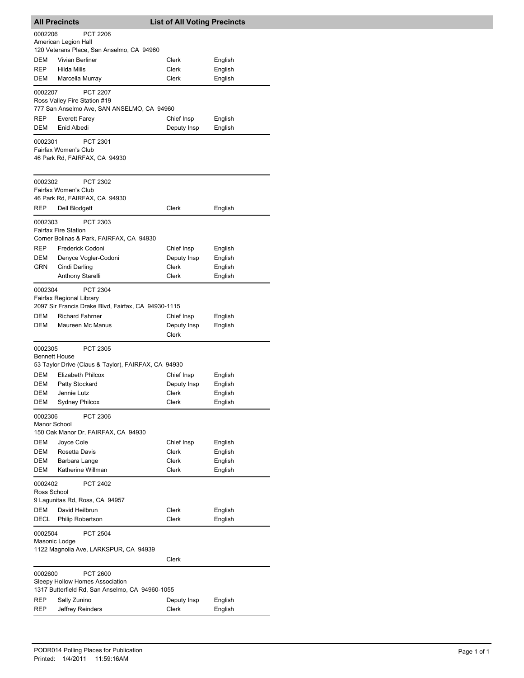| <b>All Precincts</b>            |                                                                                                                                           | <b>List of All Voting Precincts</b> |                    |
|---------------------------------|-------------------------------------------------------------------------------------------------------------------------------------------|-------------------------------------|--------------------|
| 0002206                         | <b>PCT 2206</b><br>American Legion Hall                                                                                                   |                                     |                    |
|                                 | 120 Veterans Place, San Anselmo, CA 94960                                                                                                 |                                     |                    |
| DEM                             | Vivian Berliner                                                                                                                           | Clerk                               | English            |
| <b>REP</b>                      | Hilda Mills                                                                                                                               | Clerk                               | English            |
| DEM                             | Marcella Murray                                                                                                                           | Clerk                               | English            |
| 0002207                         | <b>PCT 2207</b>                                                                                                                           |                                     |                    |
|                                 | Ross Valley Fire Station #19<br>777 San Anselmo Ave, SAN ANSELMO, CA 94960                                                                |                                     |                    |
| <b>REP</b>                      | <b>Everett Farey</b>                                                                                                                      | Chief Insp                          | English            |
| DEM                             | Enid Albedi                                                                                                                               | Deputy Insp                         | English            |
| 0002301                         | PCT 2301<br>Fairfax Women's Club<br>46 Park Rd, FAIRFAX, CA 94930                                                                         |                                     |                    |
| 0002302                         | PCT 2302<br>Fairfax Women's Club                                                                                                          |                                     |                    |
|                                 | 46 Park Rd, FAIRFAX, CA 94930                                                                                                             |                                     |                    |
| REP                             | Dell Blodgett                                                                                                                             | Clerk                               | English            |
| 0002303                         | PCT 2303<br><b>Fairfax Fire Station</b><br>Corner Bolinas & Park, FAIRFAX, CA 94930                                                       |                                     |                    |
| REP                             | Frederick Codoni                                                                                                                          | Chief Insp                          | English            |
| DEM                             | Denyce Vogler-Codoni                                                                                                                      | Deputy Insp                         | English            |
| GRN                             | Cindi Darling                                                                                                                             | <b>Clerk</b>                        | English            |
|                                 | Anthony Starelli                                                                                                                          | Clerk                               | English            |
| 0002304<br>DEM<br>DEM           | PCT 2304<br>Fairfax Regional Library<br>2097 Sir Francis Drake Blvd, Fairfax, CA 94930-1115<br><b>Richard Fahrner</b><br>Maureen Mc Manus | Chief Insp<br>Deputy Insp<br>Clerk  | English<br>English |
| 0002305<br><b>Bennett House</b> | <b>PCT 2305</b>                                                                                                                           |                                     |                    |
|                                 | 53 Taylor Drive (Claus & Taylor), FAIRFAX, CA 94930<br>Elizabeth Philcox                                                                  |                                     |                    |
| DEM<br>DEM                      | Patty Stockard                                                                                                                            | Chief Insp<br>Deputy Insp           | English<br>English |
| DEM                             | Jennie Lutz                                                                                                                               | Clerk                               | English            |
| <b>DEM</b>                      | Sydney Philcox                                                                                                                            | Clerk                               | English            |
| 0002306<br>Manor School         | PCT 2306<br>150 Oak Manor Dr, FAIRFAX, CA 94930                                                                                           |                                     |                    |
| DEM                             | Joyce Cole                                                                                                                                | Chief Insp                          | English            |
| DEM                             | Rosetta Davis                                                                                                                             | Clerk                               | English            |
| DEM                             | Barbara Lange                                                                                                                             | Clerk                               | English            |
| <b>DEM</b>                      | Katherine Willman                                                                                                                         | Clerk                               | English            |
| 0002402<br>Ross School          | <b>PCT 2402</b><br>9 Lagunitas Rd, Ross, CA 94957                                                                                         |                                     |                    |
| DEM                             | David Heilbrun                                                                                                                            | Clerk                               | English            |
| DECL                            | Philip Robertson                                                                                                                          | Clerk                               | English            |
| 0002504<br>Masonic Lodge        | <b>PCT 2504</b><br>1122 Magnolia Ave, LARKSPUR, CA 94939                                                                                  |                                     |                    |
|                                 |                                                                                                                                           | Clerk                               |                    |
| 0002600                         | <b>PCT 2600</b><br>Sleepy Hollow Homes Association<br>1317 Butterfield Rd, San Anselmo, CA 94960-1055                                     |                                     |                    |
| REP                             | Sally Zunino                                                                                                                              | Deputy Insp                         | English            |
| REP                             | Jeffrey Reinders                                                                                                                          | Clerk                               | English            |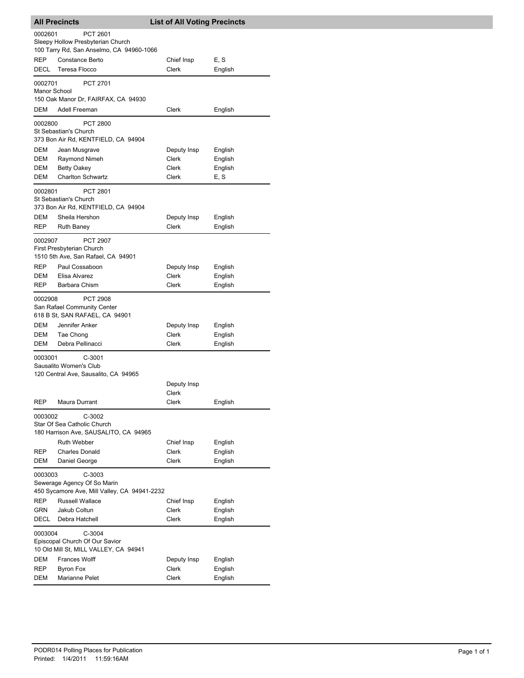|                         | <b>All Precincts</b>                                                                         | <b>List of All Voting Precincts</b> |                    |
|-------------------------|----------------------------------------------------------------------------------------------|-------------------------------------|--------------------|
| 0002601                 | PCT 2601<br>Sleepy Hollow Presbyterian Church<br>100 Tarry Rd, San Anselmo, CA 94960-1066    |                                     |                    |
| REP<br>DECL             | <b>Constance Berto</b><br>Teresa Flocco                                                      | Chief Insp<br>Clerk                 | E, S<br>English    |
| 0002701<br>Manor School | PCT 2701<br>150 Oak Manor Dr, FAIRFAX, CA 94930                                              |                                     |                    |
| DEM                     | Adell Freeman                                                                                | Clerk                               | English            |
| 0002800                 | PCT 2800<br>St Sebastian's Church<br>373 Bon Air Rd, KENTFIELD, CA 94904                     |                                     |                    |
| DEM                     | Jean Musgrave                                                                                | Deputy Insp                         | English            |
| DEM                     | <b>Raymond Nimeh</b>                                                                         | Clerk                               | English            |
| DEM                     | <b>Betty Oakey</b>                                                                           | Clerk                               | English            |
| DEM                     | <b>Charlton Schwartz</b>                                                                     | Clerk                               | E, S               |
| 0002801                 | PCT 2801<br>St Sebastian's Church<br>373 Bon Air Rd, KENTFIELD, CA 94904                     |                                     |                    |
| DEM                     | Sheila Hershon                                                                               | Deputy Insp                         | English            |
| REP                     | <b>Ruth Baney</b>                                                                            | Clerk                               | English            |
| 0002907                 | <b>PCT 2907</b><br>First Presbyterian Church                                                 |                                     |                    |
| REP                     | 1510 5th Ave, San Rafael, CA 94901<br>Paul Cossaboon                                         | Deputy Insp                         | English            |
| DEM                     | Elisa Alvarez                                                                                | Clerk                               | English            |
| REP                     | Barbara Chism                                                                                | Clerk                               | English            |
| 0002908                 | PCT 2908<br>San Rafael Community Center<br>618 B St, SAN RAFAEL, CA 94901                    |                                     |                    |
| DEM                     | Jennifer Anker                                                                               | Deputy Insp                         | English            |
| DEM                     | Tae Chong                                                                                    | Clerk                               | English            |
| DEM<br>0003001          | Debra Pellinacci<br>C-3001<br>Sausalito Women's Club<br>120 Central Ave, Sausalito, CA 94965 | Clerk                               | English            |
|                         |                                                                                              | Deputy Insp<br>Clerk                |                    |
| REP                     | Maura Durrant                                                                                | Clerk                               | English            |
| 0003002                 | C-3002<br>Star Of Sea Catholic Church<br>180 Harrison Ave, SAUSALITO, CA 94965               |                                     |                    |
| REP                     | <b>Ruth Webber</b><br><b>Charles Donald</b>                                                  | Chief Insp<br>Clerk                 | English<br>English |
| DEM                     | Daniel George                                                                                | Clerk                               | English            |
| 0003003                 | $C-3003$<br>Sewerage Agency Of So Marin<br>450 Sycamore Ave, Mill Valley, CA 94941-2232      |                                     |                    |
| REP                     | <b>Russell Wallace</b>                                                                       | Chief Insp                          | English            |
| GRN<br>DECL             | Jakub Coltun<br>Debra Hatchell                                                               | Clerk<br>Clerk                      | English<br>English |
| 0003004                 | $C-3004$<br>Episcopal Church Of Our Savior<br>10 Old Mill St, MILL VALLEY, CA 94941          |                                     |                    |
| DEM                     | <b>Frances Wolff</b>                                                                         | Deputy Insp                         | English            |
| REP                     | <b>Byron Fox</b>                                                                             | Clerk                               | English            |
| DEM                     | Marianne Pelet                                                                               | Clerk                               | English            |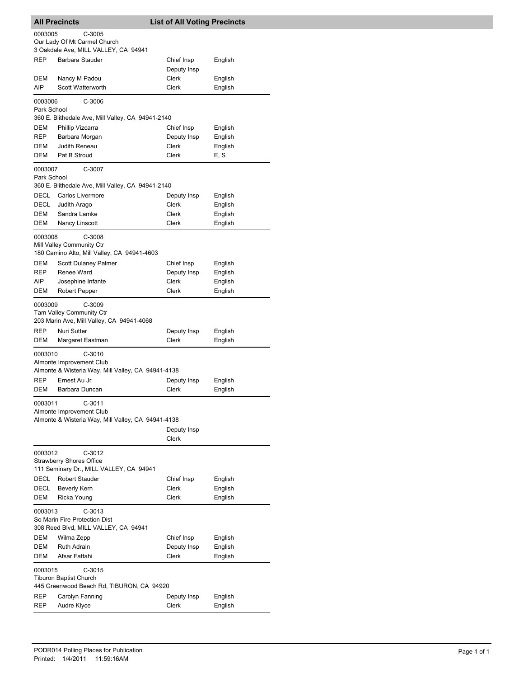| 0003005<br>C-3005<br>Our Lady Of Mt Carmel Church<br>3 Oakdale Ave, MILL VALLEY, CA 94941<br><b>REP</b><br>Barbara Stauder<br>Chief Insp<br>English<br>Deputy Insp<br>Clerk<br>DEM<br>Nancy M Padou<br>English<br>AIP<br>Scott Watterworth<br>Clerk<br>English<br>C-3006<br>0003006<br>Park School<br>360 E. Blithedale Ave, Mill Valley, CA 94941-2140<br>DEM<br>Phillip Vizcarra<br>Chief Insp<br>English<br>REP<br>Deputy Insp<br>Barbara Morgan<br>English<br>DEM<br>Judith Reneau<br>Clerk<br>English<br>Pat B Stroud<br>E, S<br>DEM<br>Clerk<br>0003007<br>C-3007<br>Park School<br>360 E. Blithedale Ave, Mill Valley, CA 94941-2140<br>DECL<br>Carlos Livermore<br>Deputy Insp<br>English<br>DECL<br>Clerk<br>Judith Arago<br>English<br>DEM<br>Sandra Lamke<br>Clerk<br>English<br>DEM<br>Clerk<br>English<br>Nancy Linscott<br>0003008<br>C-3008<br>Mill Valley Community Ctr<br>180 Camino Alto, Mill Valley, CA 94941-4603<br>Scott Dulaney Palmer<br>DEM<br>Chief Insp<br>English<br>REP<br>Renee Ward<br>Deputy Insp<br>English<br>Clerk<br>AIP.<br>Josephine Infante<br>English<br>Clerk<br>English<br>DEM<br>Robert Pepper<br>C-3009<br>0003009<br><b>Tam Valley Community Ctr</b><br>203 Marin Ave, Mill Valley, CA 94941-4068<br><b>REP</b><br>Nuri Sutter<br>Deputy Insp<br>English<br>DEM<br>Clerk<br>Margaret Eastman<br>English<br>$C-3010$<br>0003010<br>Almonte Improvement Club<br>Almonte & Wisteria Way, Mill Valley, CA 94941-4138<br><b>REP</b><br>Ernest Au Jr<br>Deputy Insp<br>English<br>Clerk<br>DEM<br>English<br>Barbara Duncan<br>0003011<br>$C-3011$<br>Almonte Improvement Club<br>Almonte & Wisteria Way, Mill Valley, CA 94941-4138<br>Deputy Insp<br><b>Clerk</b><br>0003012<br>$C-3012$<br><b>Strawberry Shores Office</b><br>111 Seminary Dr., MILL VALLEY, CA 94941<br>DECL<br><b>Robert Stauder</b><br>Chief Insp<br>English<br>Clerk<br>DECL<br>Beverly Kern<br>English<br>Clerk<br><b>DEM</b><br>Ricka Young<br>English<br>0003013<br>$C-3013$<br>So Marin Fire Protection Dist<br>308 Reed Blvd, MILL VALLEY, CA 94941<br>DEM<br>Wilma Zepp<br>Chief Insp<br>English<br>DEM<br><b>Ruth Adrain</b><br>Deputy Insp<br>English<br>Afsar Fattahi<br>DEM<br>Clerk<br>English<br>0003015<br>$C-3015$<br><b>Tiburon Baptist Church</b><br>445 Greenwood Beach Rd, TIBURON, CA 94920<br>REP<br>Carolyn Fanning<br>Deputy Insp<br>English<br>Clerk<br>REP<br>Audre Klyce<br>English | <b>All Precincts</b> |  | <b>List of All Voting Precincts</b> |  |  |  |
|-----------------------------------------------------------------------------------------------------------------------------------------------------------------------------------------------------------------------------------------------------------------------------------------------------------------------------------------------------------------------------------------------------------------------------------------------------------------------------------------------------------------------------------------------------------------------------------------------------------------------------------------------------------------------------------------------------------------------------------------------------------------------------------------------------------------------------------------------------------------------------------------------------------------------------------------------------------------------------------------------------------------------------------------------------------------------------------------------------------------------------------------------------------------------------------------------------------------------------------------------------------------------------------------------------------------------------------------------------------------------------------------------------------------------------------------------------------------------------------------------------------------------------------------------------------------------------------------------------------------------------------------------------------------------------------------------------------------------------------------------------------------------------------------------------------------------------------------------------------------------------------------------------------------------------------------------------------------------------------------------------------------------------------------------------------------------------------------------------------------------------------------------------------------------------------------------------------------------------------------------------------------------------------------------------------------------------------------------------------------------------------------------------------------------------|----------------------|--|-------------------------------------|--|--|--|
|                                                                                                                                                                                                                                                                                                                                                                                                                                                                                                                                                                                                                                                                                                                                                                                                                                                                                                                                                                                                                                                                                                                                                                                                                                                                                                                                                                                                                                                                                                                                                                                                                                                                                                                                                                                                                                                                                                                                                                                                                                                                                                                                                                                                                                                                                                                                                                                                                             |                      |  |                                     |  |  |  |
|                                                                                                                                                                                                                                                                                                                                                                                                                                                                                                                                                                                                                                                                                                                                                                                                                                                                                                                                                                                                                                                                                                                                                                                                                                                                                                                                                                                                                                                                                                                                                                                                                                                                                                                                                                                                                                                                                                                                                                                                                                                                                                                                                                                                                                                                                                                                                                                                                             |                      |  |                                     |  |  |  |
|                                                                                                                                                                                                                                                                                                                                                                                                                                                                                                                                                                                                                                                                                                                                                                                                                                                                                                                                                                                                                                                                                                                                                                                                                                                                                                                                                                                                                                                                                                                                                                                                                                                                                                                                                                                                                                                                                                                                                                                                                                                                                                                                                                                                                                                                                                                                                                                                                             |                      |  |                                     |  |  |  |
|                                                                                                                                                                                                                                                                                                                                                                                                                                                                                                                                                                                                                                                                                                                                                                                                                                                                                                                                                                                                                                                                                                                                                                                                                                                                                                                                                                                                                                                                                                                                                                                                                                                                                                                                                                                                                                                                                                                                                                                                                                                                                                                                                                                                                                                                                                                                                                                                                             |                      |  |                                     |  |  |  |
|                                                                                                                                                                                                                                                                                                                                                                                                                                                                                                                                                                                                                                                                                                                                                                                                                                                                                                                                                                                                                                                                                                                                                                                                                                                                                                                                                                                                                                                                                                                                                                                                                                                                                                                                                                                                                                                                                                                                                                                                                                                                                                                                                                                                                                                                                                                                                                                                                             |                      |  |                                     |  |  |  |
|                                                                                                                                                                                                                                                                                                                                                                                                                                                                                                                                                                                                                                                                                                                                                                                                                                                                                                                                                                                                                                                                                                                                                                                                                                                                                                                                                                                                                                                                                                                                                                                                                                                                                                                                                                                                                                                                                                                                                                                                                                                                                                                                                                                                                                                                                                                                                                                                                             |                      |  |                                     |  |  |  |
|                                                                                                                                                                                                                                                                                                                                                                                                                                                                                                                                                                                                                                                                                                                                                                                                                                                                                                                                                                                                                                                                                                                                                                                                                                                                                                                                                                                                                                                                                                                                                                                                                                                                                                                                                                                                                                                                                                                                                                                                                                                                                                                                                                                                                                                                                                                                                                                                                             |                      |  |                                     |  |  |  |
|                                                                                                                                                                                                                                                                                                                                                                                                                                                                                                                                                                                                                                                                                                                                                                                                                                                                                                                                                                                                                                                                                                                                                                                                                                                                                                                                                                                                                                                                                                                                                                                                                                                                                                                                                                                                                                                                                                                                                                                                                                                                                                                                                                                                                                                                                                                                                                                                                             |                      |  |                                     |  |  |  |
|                                                                                                                                                                                                                                                                                                                                                                                                                                                                                                                                                                                                                                                                                                                                                                                                                                                                                                                                                                                                                                                                                                                                                                                                                                                                                                                                                                                                                                                                                                                                                                                                                                                                                                                                                                                                                                                                                                                                                                                                                                                                                                                                                                                                                                                                                                                                                                                                                             |                      |  |                                     |  |  |  |
|                                                                                                                                                                                                                                                                                                                                                                                                                                                                                                                                                                                                                                                                                                                                                                                                                                                                                                                                                                                                                                                                                                                                                                                                                                                                                                                                                                                                                                                                                                                                                                                                                                                                                                                                                                                                                                                                                                                                                                                                                                                                                                                                                                                                                                                                                                                                                                                                                             |                      |  |                                     |  |  |  |
|                                                                                                                                                                                                                                                                                                                                                                                                                                                                                                                                                                                                                                                                                                                                                                                                                                                                                                                                                                                                                                                                                                                                                                                                                                                                                                                                                                                                                                                                                                                                                                                                                                                                                                                                                                                                                                                                                                                                                                                                                                                                                                                                                                                                                                                                                                                                                                                                                             |                      |  |                                     |  |  |  |
|                                                                                                                                                                                                                                                                                                                                                                                                                                                                                                                                                                                                                                                                                                                                                                                                                                                                                                                                                                                                                                                                                                                                                                                                                                                                                                                                                                                                                                                                                                                                                                                                                                                                                                                                                                                                                                                                                                                                                                                                                                                                                                                                                                                                                                                                                                                                                                                                                             |                      |  |                                     |  |  |  |
|                                                                                                                                                                                                                                                                                                                                                                                                                                                                                                                                                                                                                                                                                                                                                                                                                                                                                                                                                                                                                                                                                                                                                                                                                                                                                                                                                                                                                                                                                                                                                                                                                                                                                                                                                                                                                                                                                                                                                                                                                                                                                                                                                                                                                                                                                                                                                                                                                             |                      |  |                                     |  |  |  |
|                                                                                                                                                                                                                                                                                                                                                                                                                                                                                                                                                                                                                                                                                                                                                                                                                                                                                                                                                                                                                                                                                                                                                                                                                                                                                                                                                                                                                                                                                                                                                                                                                                                                                                                                                                                                                                                                                                                                                                                                                                                                                                                                                                                                                                                                                                                                                                                                                             |                      |  |                                     |  |  |  |
|                                                                                                                                                                                                                                                                                                                                                                                                                                                                                                                                                                                                                                                                                                                                                                                                                                                                                                                                                                                                                                                                                                                                                                                                                                                                                                                                                                                                                                                                                                                                                                                                                                                                                                                                                                                                                                                                                                                                                                                                                                                                                                                                                                                                                                                                                                                                                                                                                             |                      |  |                                     |  |  |  |
|                                                                                                                                                                                                                                                                                                                                                                                                                                                                                                                                                                                                                                                                                                                                                                                                                                                                                                                                                                                                                                                                                                                                                                                                                                                                                                                                                                                                                                                                                                                                                                                                                                                                                                                                                                                                                                                                                                                                                                                                                                                                                                                                                                                                                                                                                                                                                                                                                             |                      |  |                                     |  |  |  |
|                                                                                                                                                                                                                                                                                                                                                                                                                                                                                                                                                                                                                                                                                                                                                                                                                                                                                                                                                                                                                                                                                                                                                                                                                                                                                                                                                                                                                                                                                                                                                                                                                                                                                                                                                                                                                                                                                                                                                                                                                                                                                                                                                                                                                                                                                                                                                                                                                             |                      |  |                                     |  |  |  |
|                                                                                                                                                                                                                                                                                                                                                                                                                                                                                                                                                                                                                                                                                                                                                                                                                                                                                                                                                                                                                                                                                                                                                                                                                                                                                                                                                                                                                                                                                                                                                                                                                                                                                                                                                                                                                                                                                                                                                                                                                                                                                                                                                                                                                                                                                                                                                                                                                             |                      |  |                                     |  |  |  |
|                                                                                                                                                                                                                                                                                                                                                                                                                                                                                                                                                                                                                                                                                                                                                                                                                                                                                                                                                                                                                                                                                                                                                                                                                                                                                                                                                                                                                                                                                                                                                                                                                                                                                                                                                                                                                                                                                                                                                                                                                                                                                                                                                                                                                                                                                                                                                                                                                             |                      |  |                                     |  |  |  |
|                                                                                                                                                                                                                                                                                                                                                                                                                                                                                                                                                                                                                                                                                                                                                                                                                                                                                                                                                                                                                                                                                                                                                                                                                                                                                                                                                                                                                                                                                                                                                                                                                                                                                                                                                                                                                                                                                                                                                                                                                                                                                                                                                                                                                                                                                                                                                                                                                             |                      |  |                                     |  |  |  |
|                                                                                                                                                                                                                                                                                                                                                                                                                                                                                                                                                                                                                                                                                                                                                                                                                                                                                                                                                                                                                                                                                                                                                                                                                                                                                                                                                                                                                                                                                                                                                                                                                                                                                                                                                                                                                                                                                                                                                                                                                                                                                                                                                                                                                                                                                                                                                                                                                             |                      |  |                                     |  |  |  |
|                                                                                                                                                                                                                                                                                                                                                                                                                                                                                                                                                                                                                                                                                                                                                                                                                                                                                                                                                                                                                                                                                                                                                                                                                                                                                                                                                                                                                                                                                                                                                                                                                                                                                                                                                                                                                                                                                                                                                                                                                                                                                                                                                                                                                                                                                                                                                                                                                             |                      |  |                                     |  |  |  |
|                                                                                                                                                                                                                                                                                                                                                                                                                                                                                                                                                                                                                                                                                                                                                                                                                                                                                                                                                                                                                                                                                                                                                                                                                                                                                                                                                                                                                                                                                                                                                                                                                                                                                                                                                                                                                                                                                                                                                                                                                                                                                                                                                                                                                                                                                                                                                                                                                             |                      |  |                                     |  |  |  |
|                                                                                                                                                                                                                                                                                                                                                                                                                                                                                                                                                                                                                                                                                                                                                                                                                                                                                                                                                                                                                                                                                                                                                                                                                                                                                                                                                                                                                                                                                                                                                                                                                                                                                                                                                                                                                                                                                                                                                                                                                                                                                                                                                                                                                                                                                                                                                                                                                             |                      |  |                                     |  |  |  |
|                                                                                                                                                                                                                                                                                                                                                                                                                                                                                                                                                                                                                                                                                                                                                                                                                                                                                                                                                                                                                                                                                                                                                                                                                                                                                                                                                                                                                                                                                                                                                                                                                                                                                                                                                                                                                                                                                                                                                                                                                                                                                                                                                                                                                                                                                                                                                                                                                             |                      |  |                                     |  |  |  |
|                                                                                                                                                                                                                                                                                                                                                                                                                                                                                                                                                                                                                                                                                                                                                                                                                                                                                                                                                                                                                                                                                                                                                                                                                                                                                                                                                                                                                                                                                                                                                                                                                                                                                                                                                                                                                                                                                                                                                                                                                                                                                                                                                                                                                                                                                                                                                                                                                             |                      |  |                                     |  |  |  |
|                                                                                                                                                                                                                                                                                                                                                                                                                                                                                                                                                                                                                                                                                                                                                                                                                                                                                                                                                                                                                                                                                                                                                                                                                                                                                                                                                                                                                                                                                                                                                                                                                                                                                                                                                                                                                                                                                                                                                                                                                                                                                                                                                                                                                                                                                                                                                                                                                             |                      |  |                                     |  |  |  |
|                                                                                                                                                                                                                                                                                                                                                                                                                                                                                                                                                                                                                                                                                                                                                                                                                                                                                                                                                                                                                                                                                                                                                                                                                                                                                                                                                                                                                                                                                                                                                                                                                                                                                                                                                                                                                                                                                                                                                                                                                                                                                                                                                                                                                                                                                                                                                                                                                             |                      |  |                                     |  |  |  |
|                                                                                                                                                                                                                                                                                                                                                                                                                                                                                                                                                                                                                                                                                                                                                                                                                                                                                                                                                                                                                                                                                                                                                                                                                                                                                                                                                                                                                                                                                                                                                                                                                                                                                                                                                                                                                                                                                                                                                                                                                                                                                                                                                                                                                                                                                                                                                                                                                             |                      |  |                                     |  |  |  |
|                                                                                                                                                                                                                                                                                                                                                                                                                                                                                                                                                                                                                                                                                                                                                                                                                                                                                                                                                                                                                                                                                                                                                                                                                                                                                                                                                                                                                                                                                                                                                                                                                                                                                                                                                                                                                                                                                                                                                                                                                                                                                                                                                                                                                                                                                                                                                                                                                             |                      |  |                                     |  |  |  |
|                                                                                                                                                                                                                                                                                                                                                                                                                                                                                                                                                                                                                                                                                                                                                                                                                                                                                                                                                                                                                                                                                                                                                                                                                                                                                                                                                                                                                                                                                                                                                                                                                                                                                                                                                                                                                                                                                                                                                                                                                                                                                                                                                                                                                                                                                                                                                                                                                             |                      |  |                                     |  |  |  |
|                                                                                                                                                                                                                                                                                                                                                                                                                                                                                                                                                                                                                                                                                                                                                                                                                                                                                                                                                                                                                                                                                                                                                                                                                                                                                                                                                                                                                                                                                                                                                                                                                                                                                                                                                                                                                                                                                                                                                                                                                                                                                                                                                                                                                                                                                                                                                                                                                             |                      |  |                                     |  |  |  |
|                                                                                                                                                                                                                                                                                                                                                                                                                                                                                                                                                                                                                                                                                                                                                                                                                                                                                                                                                                                                                                                                                                                                                                                                                                                                                                                                                                                                                                                                                                                                                                                                                                                                                                                                                                                                                                                                                                                                                                                                                                                                                                                                                                                                                                                                                                                                                                                                                             |                      |  |                                     |  |  |  |
|                                                                                                                                                                                                                                                                                                                                                                                                                                                                                                                                                                                                                                                                                                                                                                                                                                                                                                                                                                                                                                                                                                                                                                                                                                                                                                                                                                                                                                                                                                                                                                                                                                                                                                                                                                                                                                                                                                                                                                                                                                                                                                                                                                                                                                                                                                                                                                                                                             |                      |  |                                     |  |  |  |
|                                                                                                                                                                                                                                                                                                                                                                                                                                                                                                                                                                                                                                                                                                                                                                                                                                                                                                                                                                                                                                                                                                                                                                                                                                                                                                                                                                                                                                                                                                                                                                                                                                                                                                                                                                                                                                                                                                                                                                                                                                                                                                                                                                                                                                                                                                                                                                                                                             |                      |  |                                     |  |  |  |
|                                                                                                                                                                                                                                                                                                                                                                                                                                                                                                                                                                                                                                                                                                                                                                                                                                                                                                                                                                                                                                                                                                                                                                                                                                                                                                                                                                                                                                                                                                                                                                                                                                                                                                                                                                                                                                                                                                                                                                                                                                                                                                                                                                                                                                                                                                                                                                                                                             |                      |  |                                     |  |  |  |
|                                                                                                                                                                                                                                                                                                                                                                                                                                                                                                                                                                                                                                                                                                                                                                                                                                                                                                                                                                                                                                                                                                                                                                                                                                                                                                                                                                                                                                                                                                                                                                                                                                                                                                                                                                                                                                                                                                                                                                                                                                                                                                                                                                                                                                                                                                                                                                                                                             |                      |  |                                     |  |  |  |
|                                                                                                                                                                                                                                                                                                                                                                                                                                                                                                                                                                                                                                                                                                                                                                                                                                                                                                                                                                                                                                                                                                                                                                                                                                                                                                                                                                                                                                                                                                                                                                                                                                                                                                                                                                                                                                                                                                                                                                                                                                                                                                                                                                                                                                                                                                                                                                                                                             |                      |  |                                     |  |  |  |
|                                                                                                                                                                                                                                                                                                                                                                                                                                                                                                                                                                                                                                                                                                                                                                                                                                                                                                                                                                                                                                                                                                                                                                                                                                                                                                                                                                                                                                                                                                                                                                                                                                                                                                                                                                                                                                                                                                                                                                                                                                                                                                                                                                                                                                                                                                                                                                                                                             |                      |  |                                     |  |  |  |
|                                                                                                                                                                                                                                                                                                                                                                                                                                                                                                                                                                                                                                                                                                                                                                                                                                                                                                                                                                                                                                                                                                                                                                                                                                                                                                                                                                                                                                                                                                                                                                                                                                                                                                                                                                                                                                                                                                                                                                                                                                                                                                                                                                                                                                                                                                                                                                                                                             |                      |  |                                     |  |  |  |
|                                                                                                                                                                                                                                                                                                                                                                                                                                                                                                                                                                                                                                                                                                                                                                                                                                                                                                                                                                                                                                                                                                                                                                                                                                                                                                                                                                                                                                                                                                                                                                                                                                                                                                                                                                                                                                                                                                                                                                                                                                                                                                                                                                                                                                                                                                                                                                                                                             |                      |  |                                     |  |  |  |
|                                                                                                                                                                                                                                                                                                                                                                                                                                                                                                                                                                                                                                                                                                                                                                                                                                                                                                                                                                                                                                                                                                                                                                                                                                                                                                                                                                                                                                                                                                                                                                                                                                                                                                                                                                                                                                                                                                                                                                                                                                                                                                                                                                                                                                                                                                                                                                                                                             |                      |  |                                     |  |  |  |
|                                                                                                                                                                                                                                                                                                                                                                                                                                                                                                                                                                                                                                                                                                                                                                                                                                                                                                                                                                                                                                                                                                                                                                                                                                                                                                                                                                                                                                                                                                                                                                                                                                                                                                                                                                                                                                                                                                                                                                                                                                                                                                                                                                                                                                                                                                                                                                                                                             |                      |  |                                     |  |  |  |
|                                                                                                                                                                                                                                                                                                                                                                                                                                                                                                                                                                                                                                                                                                                                                                                                                                                                                                                                                                                                                                                                                                                                                                                                                                                                                                                                                                                                                                                                                                                                                                                                                                                                                                                                                                                                                                                                                                                                                                                                                                                                                                                                                                                                                                                                                                                                                                                                                             |                      |  |                                     |  |  |  |
|                                                                                                                                                                                                                                                                                                                                                                                                                                                                                                                                                                                                                                                                                                                                                                                                                                                                                                                                                                                                                                                                                                                                                                                                                                                                                                                                                                                                                                                                                                                                                                                                                                                                                                                                                                                                                                                                                                                                                                                                                                                                                                                                                                                                                                                                                                                                                                                                                             |                      |  |                                     |  |  |  |
|                                                                                                                                                                                                                                                                                                                                                                                                                                                                                                                                                                                                                                                                                                                                                                                                                                                                                                                                                                                                                                                                                                                                                                                                                                                                                                                                                                                                                                                                                                                                                                                                                                                                                                                                                                                                                                                                                                                                                                                                                                                                                                                                                                                                                                                                                                                                                                                                                             |                      |  |                                     |  |  |  |
|                                                                                                                                                                                                                                                                                                                                                                                                                                                                                                                                                                                                                                                                                                                                                                                                                                                                                                                                                                                                                                                                                                                                                                                                                                                                                                                                                                                                                                                                                                                                                                                                                                                                                                                                                                                                                                                                                                                                                                                                                                                                                                                                                                                                                                                                                                                                                                                                                             |                      |  |                                     |  |  |  |
|                                                                                                                                                                                                                                                                                                                                                                                                                                                                                                                                                                                                                                                                                                                                                                                                                                                                                                                                                                                                                                                                                                                                                                                                                                                                                                                                                                                                                                                                                                                                                                                                                                                                                                                                                                                                                                                                                                                                                                                                                                                                                                                                                                                                                                                                                                                                                                                                                             |                      |  |                                     |  |  |  |
|                                                                                                                                                                                                                                                                                                                                                                                                                                                                                                                                                                                                                                                                                                                                                                                                                                                                                                                                                                                                                                                                                                                                                                                                                                                                                                                                                                                                                                                                                                                                                                                                                                                                                                                                                                                                                                                                                                                                                                                                                                                                                                                                                                                                                                                                                                                                                                                                                             |                      |  |                                     |  |  |  |
|                                                                                                                                                                                                                                                                                                                                                                                                                                                                                                                                                                                                                                                                                                                                                                                                                                                                                                                                                                                                                                                                                                                                                                                                                                                                                                                                                                                                                                                                                                                                                                                                                                                                                                                                                                                                                                                                                                                                                                                                                                                                                                                                                                                                                                                                                                                                                                                                                             |                      |  |                                     |  |  |  |
|                                                                                                                                                                                                                                                                                                                                                                                                                                                                                                                                                                                                                                                                                                                                                                                                                                                                                                                                                                                                                                                                                                                                                                                                                                                                                                                                                                                                                                                                                                                                                                                                                                                                                                                                                                                                                                                                                                                                                                                                                                                                                                                                                                                                                                                                                                                                                                                                                             |                      |  |                                     |  |  |  |
|                                                                                                                                                                                                                                                                                                                                                                                                                                                                                                                                                                                                                                                                                                                                                                                                                                                                                                                                                                                                                                                                                                                                                                                                                                                                                                                                                                                                                                                                                                                                                                                                                                                                                                                                                                                                                                                                                                                                                                                                                                                                                                                                                                                                                                                                                                                                                                                                                             |                      |  |                                     |  |  |  |
|                                                                                                                                                                                                                                                                                                                                                                                                                                                                                                                                                                                                                                                                                                                                                                                                                                                                                                                                                                                                                                                                                                                                                                                                                                                                                                                                                                                                                                                                                                                                                                                                                                                                                                                                                                                                                                                                                                                                                                                                                                                                                                                                                                                                                                                                                                                                                                                                                             |                      |  |                                     |  |  |  |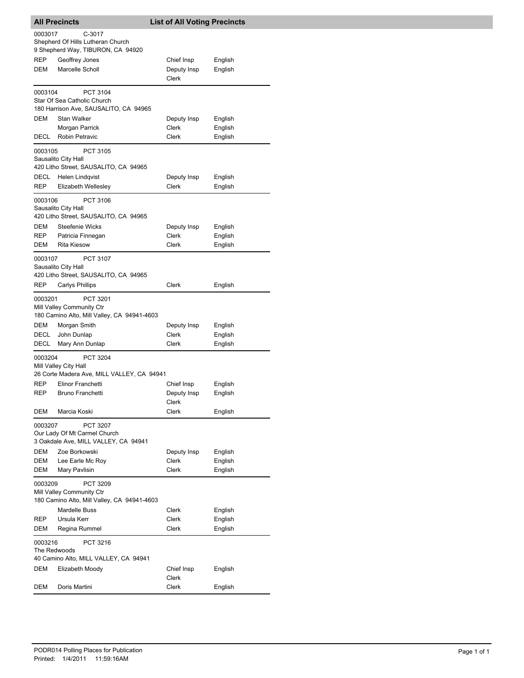|                                   | <b>All Precincts</b>                                                                 | <b>List of All Voting Precincts</b>                            |  |
|-----------------------------------|--------------------------------------------------------------------------------------|----------------------------------------------------------------|--|
| 0003017                           | $C-3017$<br>Shepherd Of Hills Lutheran Church<br>9 Shepherd Way, TIBURON, CA 94920   |                                                                |  |
| REP<br>DEM                        | Geoffrey Jones<br>Marcelle Scholl                                                    | Chief Insp<br>English<br>Deputy Insp<br>English<br>Clerk       |  |
| 0003104                           | PCT 3104<br>Star Of Sea Catholic Church<br>180 Harrison Ave, SAUSALITO, CA 94965     |                                                                |  |
| DEM<br>DECL                       | Stan Walker<br>Morgan Parrick<br>Robin Petravic                                      | Deputy Insp<br>English<br>Clerk<br>English<br>Clerk<br>English |  |
| 0003105                           | PCT 3105<br>Sausalito City Hall<br>420 Litho Street, SAUSALITO, CA 94965             |                                                                |  |
| DECL<br>REP                       | Helen Lindqvist<br>Elizabeth Wellesley                                               | Deputy Insp<br>English<br>Clerk<br>English                     |  |
| 0003106                           | PCT 3106<br>Sausalito City Hall<br>420 Litho Street, SAUSALITO, CA 94965             |                                                                |  |
| DEM<br>REP<br>DEM                 | Steefenie Wicks<br>Patricia Finnegan<br><b>Rita Kiesow</b>                           | Deputy Insp<br>English<br>Clerk<br>English<br>Clerk<br>English |  |
| 0003107                           | PCT 3107<br>Sausalito City Hall<br>420 Litho Street, SAUSALITO, CA 94965             |                                                                |  |
| REP                               | Carlys Phillips                                                                      | Clerk<br>English                                               |  |
| 0003201                           | PCT 3201<br>Mill Valley Community Ctr<br>180 Camino Alto, Mill Valley, CA 94941-4603 |                                                                |  |
| <b>DEM</b><br>DECL<br><b>DECL</b> | Morgan Smith<br>John Dunlap<br>Mary Ann Dunlap                                       | Deputy Insp<br>English<br>Clerk<br>English<br>Clerk<br>English |  |
| 0003204                           | PCT 3204<br>Mill Valley City Hall<br>26 Corte Madera Ave, MILL VALLEY, CA 94941      |                                                                |  |
| REP<br>REP                        | Elinor Franchetti<br>Bruno Franchetti                                                | Chief Insp<br>English<br>English<br>Deputy Insp<br>Clerk       |  |
| DEM                               | Marcia Koski                                                                         | Clerk<br>English                                               |  |
| 0003207                           | PCT 3207<br>Our Lady Of Mt Carmel Church<br>3 Oakdale Ave, MILL VALLEY, CA 94941     |                                                                |  |
| DEM<br>DEM<br>DEM                 | Zoe Borkowski<br>Lee Earle Mc Roy<br>Mary Pavlisin                                   | Deputy Insp<br>English<br>Clerk<br>English<br>Clerk<br>English |  |
| 0003209                           | PCT 3209<br>Mill Valley Community Ctr<br>180 Camino Alto, Mill Valley, CA 94941-4603 |                                                                |  |
| REP<br>DEM                        | <b>Mardelle Buss</b><br>Ursula Kerr<br>Regina Rummel                                 | Clerk<br>English<br>Clerk<br>English<br>Clerk<br>English       |  |
| 0003216<br>The Redwoods           | PCT 3216                                                                             |                                                                |  |
| DEM                               | 40 Camino Alto, MILL VALLEY, CA 94941<br>Elizabeth Moody                             | Chief Insp<br>English<br>Clerk                                 |  |
| DEM                               | Doris Martini                                                                        | Clerk<br>English                                               |  |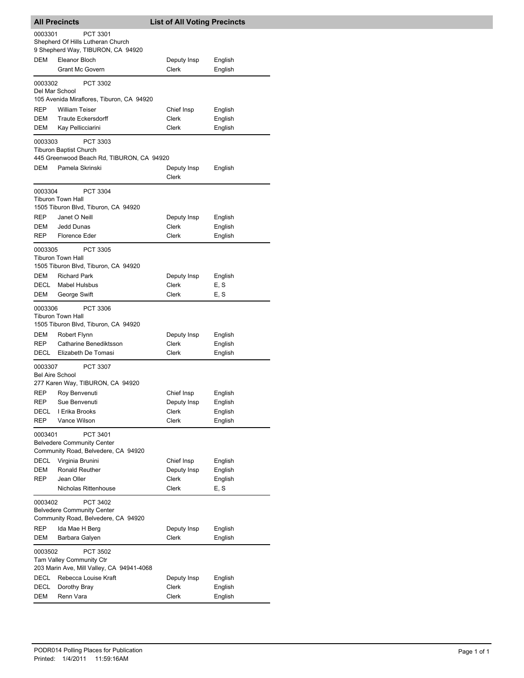|                                   | <b>All Precincts</b>                                                                 | <b>List of All Voting Precincts</b> |                    |
|-----------------------------------|--------------------------------------------------------------------------------------|-------------------------------------|--------------------|
| 0003301                           | PCT 3301<br>Shepherd Of Hills Lutheran Church                                        |                                     |                    |
|                                   | 9 Shepherd Way, TIBURON, CA 94920                                                    |                                     |                    |
| DEM                               | Eleanor Bloch<br><b>Grant Mc Govern</b>                                              | Deputy Insp<br>Clerk                | English<br>English |
| 0003302                           | PCT 3302                                                                             |                                     |                    |
| Del Mar School                    | 105 Avenida Miraflores, Tiburon, CA 94920                                            |                                     |                    |
| REP                               | <b>William Teiser</b>                                                                | Chief Insp                          | English            |
| DEM                               | <b>Traute Eckersdorff</b>                                                            | Clerk                               | English            |
| DEM                               | Kay Pellicciarini                                                                    | Clerk                               | English            |
| 0003303                           | PCT 3303<br><b>Tiburon Baptist Church</b>                                            |                                     |                    |
|                                   | 445 Greenwood Beach Rd, TIBURON, CA 94920                                            |                                     |                    |
| DEM                               | Pamela Skrinski                                                                      | Deputy Insp<br>Clerk                | English            |
| 0003304                           | PCT 3304                                                                             |                                     |                    |
|                                   | <b>Tiburon Town Hall</b><br>1505 Tiburon Blvd, Tiburon, CA 94920                     |                                     |                    |
| REP                               | Janet O Neill                                                                        | Deputy Insp                         | English            |
| DEM                               | Jedd Dunas                                                                           | Clerk                               | English            |
| <b>REP</b>                        | Florence Eder                                                                        | Clerk                               | English            |
| 0003305                           | <b>PCT 3305</b>                                                                      |                                     |                    |
|                                   | <b>Tiburon Town Hall</b><br>1505 Tiburon Blvd, Tiburon, CA 94920                     |                                     |                    |
| DEM                               | <b>Richard Park</b>                                                                  | Deputy Insp                         | English            |
| DECL                              | <b>Mabel Hulsbus</b>                                                                 | Clerk                               | E, S               |
| DEM                               | George Swift                                                                         | Clerk                               | E, S               |
| 0003306                           | PCT 3306<br><b>Tiburon Town Hall</b>                                                 |                                     |                    |
| DEM                               | 1505 Tiburon Blvd, Tiburon, CA 94920<br>Robert Flynn                                 | Deputy Insp                         | English            |
| REP                               | Catharine Benediktsson                                                               | Clerk                               | English            |
| DECL                              | Elizabeth De Tomasi                                                                  | Clerk                               | English            |
| 0003307<br><b>Bel Aire School</b> | PCT 3307                                                                             |                                     |                    |
|                                   | 277 Karen Way, TIBURON, CA 94920                                                     |                                     |                    |
| REP                               | Roy Benvenuti                                                                        | Chief Insp                          | English            |
| REP<br>DECL                       | Sue Benvenuti<br>I Erika Brooks                                                      | Deputy Insp<br><b>Clerk</b>         | English<br>English |
| <b>REP</b>                        | Vance Wilson                                                                         | Clerk                               | English            |
| 0003401                           | PCT 3401<br><b>Belvedere Community Center</b><br>Community Road, Belvedere, CA 94920 |                                     |                    |
| DECL                              | Virginia Brunini                                                                     | Chief Insp                          | English            |
| DEM                               | Ronald Reuther                                                                       | Deputy Insp                         | English            |
| REP                               | Jean Oller                                                                           | Clerk                               | English            |
|                                   | Nicholas Rittenhouse                                                                 | Clerk                               | E, S               |
| 0003402                           | PCT 3402<br><b>Belvedere Community Center</b><br>Community Road, Belvedere, CA 94920 |                                     |                    |
| REP                               | Ida Mae H Berg                                                                       | Deputy Insp                         | English            |
| DEM                               | Barbara Galyen                                                                       | Clerk                               | English            |
| 0003502                           | PCT 3502<br>Tam Valley Community Ctr<br>203 Marin Ave, Mill Valley, CA 94941-4068    |                                     |                    |
| DECL                              | Rebecca Louise Kraft                                                                 | Deputy Insp                         | English            |
| DECL<br><b>DEM</b>                | Dorothy Bray<br>Renn Vara                                                            | Clerk<br>Clerk                      | English<br>English |
|                                   |                                                                                      |                                     |                    |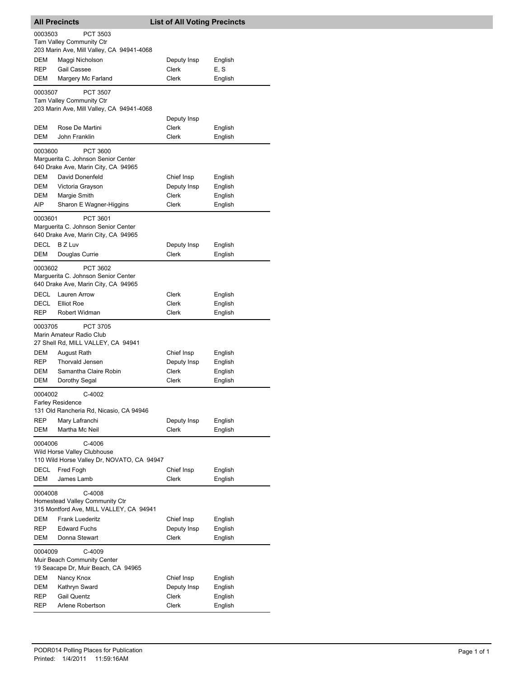|             | <b>All Precincts</b>                                                                     | <b>List of All Voting Precincts</b> |                    |
|-------------|------------------------------------------------------------------------------------------|-------------------------------------|--------------------|
| 0003503     | PCT 3503<br><b>Tam Valley Community Ctr</b>                                              |                                     |                    |
| <b>DEM</b>  | 203 Marin Ave, Mill Valley, CA 94941-4068<br>Maggi Nicholson                             | Deputy Insp                         | English            |
| REP         | Gail Cassee                                                                              | Clerk                               | E, S               |
| DEM         | Margery Mc Farland                                                                       | Clerk                               | English            |
| 0003507     | <b>PCT 3507</b><br>Tam Valley Community Ctr<br>203 Marin Ave, Mill Valley, CA 94941-4068 |                                     |                    |
|             |                                                                                          | Deputy Insp                         |                    |
| DEM         | Rose De Martini                                                                          | Clerk                               | English            |
| DEM         | John Franklin                                                                            | Clerk                               | English            |
| 0003600     | PCT 3600<br>Marguerita C. Johnson Senior Center<br>640 Drake Ave, Marin City, CA 94965   |                                     |                    |
| DEM         | David Donenfeld                                                                          | Chief Insp                          | English            |
| DEM         | Victoria Grayson                                                                         | Deputy Insp                         | English            |
| DEM<br>AIP  | Margie Smith<br>Sharon E Wagner-Higgins                                                  | Clerk<br>Clerk                      | English<br>English |
| 0003601     | PCT 3601<br>Marguerita C. Johnson Senior Center<br>640 Drake Ave, Marin City, CA 94965   |                                     |                    |
| <b>DECL</b> | <b>BZ Luv</b>                                                                            | Deputy Insp                         | English            |
| <b>DEM</b>  | Douglas Currie                                                                           | Clerk                               | English            |
| 0003602     | PCT 3602<br>Marguerita C. Johnson Senior Center<br>640 Drake Ave, Marin City, CA 94965   |                                     |                    |
| DECL        | Lauren Arrow                                                                             | Clerk                               | English            |
| DECL        | <b>Elliot Roe</b>                                                                        | Clerk                               | English            |
| REP         | Robert Widman                                                                            | Clerk                               | English            |
| 0003705     | <b>PCT 3705</b><br>Marin Amateur Radio Club<br>27 Shell Rd, MILL VALLEY, CA 94941        |                                     |                    |
| DEM         | August Rath                                                                              | Chief Insp                          | English            |
| REP         | <b>Thorvald Jensen</b>                                                                   | Deputy Insp                         | English            |
| DEM<br>DEM  | Samantha Claire Robin<br>Dorothy Segal                                                   | Clerk<br>Clerk                      | English<br>English |
|             |                                                                                          |                                     |                    |
| 0004002     | C-4002<br><b>Farley Residence</b><br>131 Old Rancheria Rd, Nicasio, CA 94946             |                                     |                    |
| REP         | Mary Lafranchi                                                                           | Deputy Insp                         | English            |
| DEM         | Martha Mc Neil                                                                           | <b>Clerk</b>                        | English            |
| 0004006     | C-4006<br>Wild Horse Valley Clubhouse<br>110 Wild Horse Valley Dr, NOVATO, CA 94947      |                                     |                    |
| DECL<br>DEM | Fred Fogh<br>James Lamb                                                                  | Chief Insp<br><b>Clerk</b>          | English<br>English |
| 0004008     | C-4008<br>Homestead Valley Community Ctr<br>315 Montford Ave, MILL VALLEY, CA 94941      |                                     |                    |
| DEM         | <b>Frank Luederitz</b>                                                                   | Chief Insp                          | English            |
| REP         | <b>Edward Fuchs</b>                                                                      | Deputy Insp                         | English            |
| DEM         | Donna Stewart                                                                            | Clerk                               | English            |
| 0004009     | C-4009<br>Muir Beach Community Center<br>19 Seacape Dr, Muir Beach, CA 94965             |                                     |                    |
| DEM         | Nancy Knox                                                                               | Chief Insp                          | English            |
| DEM         | Kathryn Sward                                                                            | Deputy Insp                         | English            |
| REP         | <b>Gail Quentz</b>                                                                       | Clerk                               | English            |
| REP         | Arlene Robertson                                                                         | Clerk                               | English            |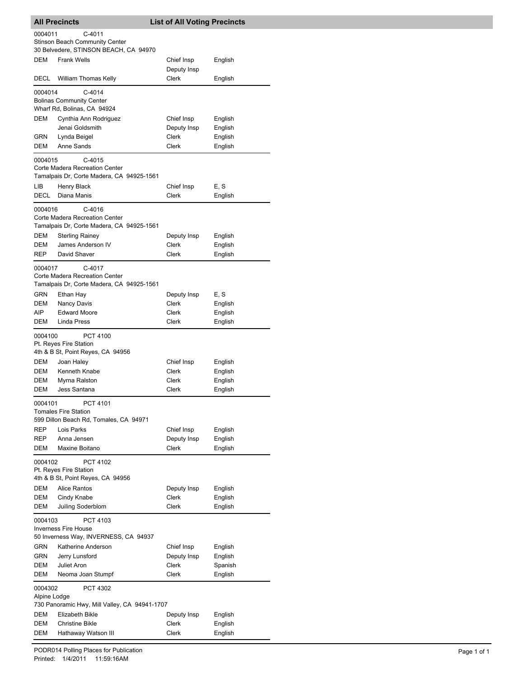|                                                                                                     | <b>All Precincts</b>                                                                                                                                 | <b>List of All Voting Precincts</b> |                               |  |
|-----------------------------------------------------------------------------------------------------|------------------------------------------------------------------------------------------------------------------------------------------------------|-------------------------------------|-------------------------------|--|
| 0004011<br>C-4011<br><b>Stinson Beach Community Center</b><br>30 Belvedere, STINSON BEACH, CA 94970 |                                                                                                                                                      |                                     |                               |  |
| DEM                                                                                                 | <b>Frank Wells</b>                                                                                                                                   | Chief Insp<br>Deputy Insp           | English                       |  |
| <b>DECL</b>                                                                                         | <b>William Thomas Kelly</b>                                                                                                                          | <b>Clerk</b>                        | English                       |  |
| 0004014                                                                                             | $C-4014$<br><b>Bolinas Community Center</b><br>Wharf Rd, Bolinas, CA 94924                                                                           |                                     |                               |  |
| DEM                                                                                                 | Cynthia Ann Rodriguez<br>Jenai Goldsmith                                                                                                             | Chief Insp<br>Deputy Insp           | English<br>English            |  |
| GRN<br>DEM                                                                                          | Lynda Beigel<br>Anne Sands                                                                                                                           | Clerk<br>Clerk                      | English<br>English            |  |
| 0004015                                                                                             | $C-4015$<br>Corte Madera Recreation Center<br>Tamalpais Dr, Corte Madera, CA 94925-1561                                                              |                                     |                               |  |
| LІВ<br><b>DECL</b>                                                                                  | Henry Black<br>Diana Manis                                                                                                                           | Chief Insp<br>Clerk                 | E, S<br>English               |  |
| 0004016<br>DEM<br>DEM<br><b>REP</b>                                                                 | C-4016<br>Corte Madera Recreation Center<br>Tamalpais Dr, Corte Madera, CA 94925-1561<br><b>Sterling Rainey</b><br>James Anderson IV<br>David Shaver | Deputy Insp<br>Clerk<br>Clerk       | English<br>English<br>English |  |
| 0004017                                                                                             | $C-4017$<br>Corte Madera Recreation Center<br>Tamalpais Dr, Corte Madera, CA 94925-1561                                                              |                                     |                               |  |
| GRN                                                                                                 | Ethan Hay                                                                                                                                            | Deputy Insp                         | E, S                          |  |
| DEM                                                                                                 | Nancy Davis                                                                                                                                          | Clerk                               | English                       |  |
| AIP<br>DEM                                                                                          | <b>Edward Moore</b><br>Linda Press                                                                                                                   | Clerk<br>Clerk                      | English<br>English            |  |
| <b>PCT 4100</b><br>0004100<br>Pt. Reyes Fire Station<br>4th & B St, Point Reyes, CA 94956           |                                                                                                                                                      |                                     |                               |  |
| DEM                                                                                                 | Joan Haley                                                                                                                                           | Chief Insp                          | English                       |  |
| DEM                                                                                                 | Kenneth Knabe                                                                                                                                        | Clerk                               | English                       |  |
| <b>DEM</b><br><b>DEM</b>                                                                            | Myrna Ralston<br>Jess Santana                                                                                                                        | Clerk<br>Clerk                      | English<br>English            |  |
| 0004101<br>PCT 4101<br><b>Tomales Fire Station</b><br>599 Dillon Beach Rd, Tomales, CA 94971        |                                                                                                                                                      |                                     |                               |  |
| REP                                                                                                 | Lois Parks                                                                                                                                           | Chief Insp                          | English                       |  |
| REP                                                                                                 | Anna Jensen                                                                                                                                          | Deputy Insp                         | English                       |  |
| DEM                                                                                                 | Maxine Boitano                                                                                                                                       | <b>Clerk</b>                        | English                       |  |
| 0004102                                                                                             | PCT 4102<br>Pt. Reyes Fire Station<br>4th & B St, Point Reyes, CA 94956                                                                              |                                     |                               |  |
| DEM                                                                                                 | <b>Alice Rantos</b>                                                                                                                                  | Deputy Insp                         | English                       |  |
| DEM<br>DEM                                                                                          | Cindy Knabe<br>Juiling Soderblom                                                                                                                     | Clerk<br>Clerk                      | English<br>English            |  |
| 0004103                                                                                             | PCT 4103<br><b>Inverness Fire House</b><br>50 Inverness Way, INVERNESS, CA 94937                                                                     |                                     |                               |  |
| GRN                                                                                                 | Katherine Anderson                                                                                                                                   | Chief Insp                          | English                       |  |
| GRN<br>DEM                                                                                          | Jerry Lunsford<br>Juliet Aron                                                                                                                        | Deputy Insp<br>Clerk                | English<br>Spanish            |  |
| DEM                                                                                                 | Neoma Joan Stumpf                                                                                                                                    | Clerk                               | English                       |  |
| 0004302<br>PCT 4302<br>Alpine Lodge<br>730 Panoramic Hwy, Mill Valley, CA 94941-1707                |                                                                                                                                                      |                                     |                               |  |
| DEM                                                                                                 | Elizabeth Bikle                                                                                                                                      | Deputy Insp                         | English                       |  |
| DEM<br>DEM                                                                                          | <b>Christine Bikle</b><br>Hathaway Watson III                                                                                                        | Clerk<br>Clerk                      | English<br>English            |  |
|                                                                                                     |                                                                                                                                                      |                                     |                               |  |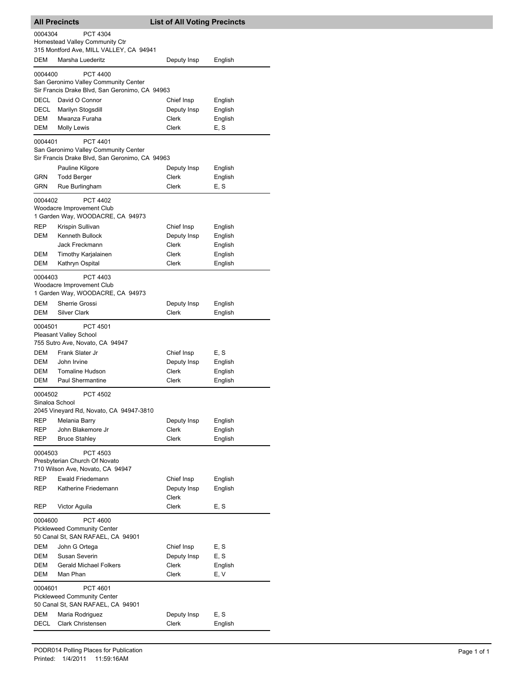| <b>All Precincts</b>                                                                           |                                                                                                           | <b>List of All Voting Precincts</b> |                    |  |  |
|------------------------------------------------------------------------------------------------|-----------------------------------------------------------------------------------------------------------|-------------------------------------|--------------------|--|--|
| 0004304<br>PCT 4304<br>Homestead Valley Community Ctr                                          |                                                                                                           |                                     |                    |  |  |
| DEM                                                                                            | 315 Montford Ave, MILL VALLEY, CA 94941<br>Marsha Luederitz                                               | Deputy Insp                         | English            |  |  |
| 0004400                                                                                        | <b>PCT 4400</b><br>San Geronimo Valley Community Center                                                   |                                     |                    |  |  |
|                                                                                                | Sir Francis Drake Blvd, San Geronimo, CA 94963                                                            |                                     |                    |  |  |
| DECL                                                                                           | David O Connor                                                                                            | Chief Insp                          | English            |  |  |
| <b>DECL</b>                                                                                    | Marilyn Stogsdill                                                                                         | Deputy Insp                         | English            |  |  |
| DEM<br>DEM                                                                                     | Mwanza Furaha<br>Molly Lewis                                                                              | Clerk<br>Clerk                      | English<br>E, S    |  |  |
| 0004401                                                                                        | <b>PCT 4401</b><br>San Geronimo Valley Community Center<br>Sir Francis Drake Blvd, San Geronimo, CA 94963 |                                     |                    |  |  |
|                                                                                                | Pauline Kilgore                                                                                           | Deputy Insp                         | English            |  |  |
| GRN<br><b>GRN</b>                                                                              | <b>Todd Berger</b>                                                                                        | Clerk<br>Clerk                      | English<br>E, S    |  |  |
|                                                                                                | Rue Burlingham                                                                                            |                                     |                    |  |  |
| 0004402                                                                                        | <b>PCT 4402</b><br>Woodacre Improvement Club<br>1 Garden Way, WOODACRE, CA 94973                          |                                     |                    |  |  |
| <b>REP</b>                                                                                     | Krispin Sullivan                                                                                          | Chief Insp                          | English            |  |  |
| DEM                                                                                            | <b>Kenneth Bullock</b><br>Jack Freckmann                                                                  | Deputy Insp<br>Clerk                | English<br>English |  |  |
| DEM                                                                                            | Timothy Karjalainen                                                                                       | Clerk                               | English            |  |  |
| DEM                                                                                            | Kathryn Ospital                                                                                           | Clerk                               | English            |  |  |
| 0004403                                                                                        | PCT 4403<br>Woodacre Improvement Club<br>1 Garden Way, WOODACRE, CA 94973                                 |                                     |                    |  |  |
| DEM                                                                                            | Sherrie Grossi                                                                                            | Deputy Insp                         | English            |  |  |
| DEM                                                                                            | <b>Silver Clark</b>                                                                                       | Clerk                               | English            |  |  |
| 0004501                                                                                        | PCT 4501<br>Pleasant Valley School<br>755 Sutro Ave, Novato, CA 94947                                     |                                     |                    |  |  |
| DEM                                                                                            | Frank Slater Jr                                                                                           | Chief Insp                          | E, S               |  |  |
| DEM                                                                                            | John Irvine                                                                                               | Deputy Insp                         | English            |  |  |
| DEM                                                                                            | Tomaline Hudson                                                                                           | Clerk                               | English            |  |  |
| DEM                                                                                            | Paul Shermantine                                                                                          | Clerk                               | English            |  |  |
|                                                                                                | <b>PCT 4502</b><br>0004502<br>Sinaloa School<br>2045 Vineyard Rd, Novato, CA 94947-3810                   |                                     |                    |  |  |
| REP                                                                                            | Melania Barry                                                                                             | Deputy Insp                         | English            |  |  |
| REP                                                                                            | John Blakemore Jr                                                                                         | Clerk                               | English            |  |  |
| REP                                                                                            | <b>Bruce Stahley</b>                                                                                      | Clerk                               | English            |  |  |
| 0004503<br>PCT 4503<br>Presbyterian Church Of Novato<br>710 Wilson Ave, Novato, CA 94947       |                                                                                                           |                                     |                    |  |  |
| REP                                                                                            | Ewald Friedemann                                                                                          | Chief Insp                          | English            |  |  |
| REP                                                                                            | Katherine Friedemann                                                                                      | Deputy Insp<br>Clerk                | English            |  |  |
| <b>REP</b>                                                                                     | Victor Aguila                                                                                             | Clerk                               | E, S               |  |  |
| PCT 4600<br>0004600<br><b>Pickleweed Community Center</b><br>50 Canal St, SAN RAFAEL, CA 94901 |                                                                                                           |                                     |                    |  |  |
| DEM                                                                                            | John G Ortega                                                                                             | Chief Insp                          | E, S               |  |  |
| DEM                                                                                            | Susan Severin                                                                                             | Deputy Insp                         | E, S               |  |  |
| DEM                                                                                            | <b>Gerald Michael Folkers</b><br>Man Phan                                                                 | Clerk                               | English            |  |  |
| DEM                                                                                            |                                                                                                           | Clerk                               | E, V               |  |  |
| PCT 4601<br>0004601<br><b>Pickleweed Community Center</b><br>50 Canal St, SAN RAFAEL, CA 94901 |                                                                                                           |                                     |                    |  |  |
| DEM<br>DECL                                                                                    | Maria Rodriguez<br>Clark Christensen                                                                      | Deputy Insp<br>Clerk                | E, S<br>English    |  |  |
|                                                                                                |                                                                                                           |                                     |                    |  |  |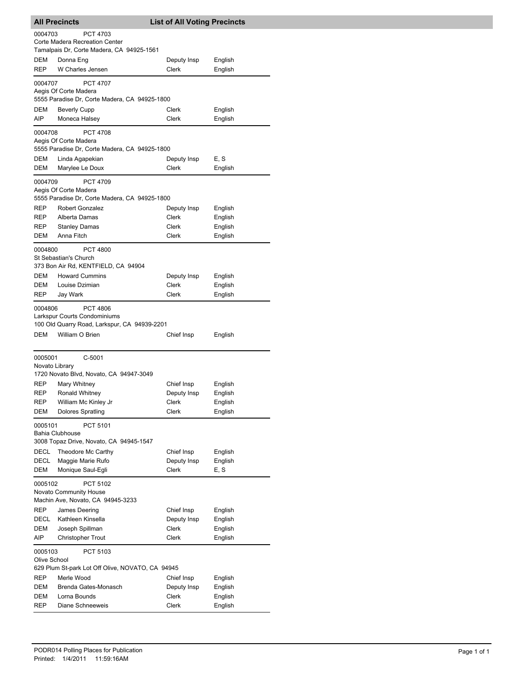| <b>All Precincts</b>      |                                                                        | <b>List of All Voting Precincts</b> |                    |
|---------------------------|------------------------------------------------------------------------|-------------------------------------|--------------------|
| 0004703                   | <b>PCT 4703</b>                                                        |                                     |                    |
|                           | Corte Madera Recreation Center                                         |                                     |                    |
|                           | Tamalpais Dr, Corte Madera, CA 94925-1561                              |                                     |                    |
| DEM<br>REP                | Donna Eng<br>W Charles Jensen                                          | Deputy Insp<br>Clerk                | English            |
|                           |                                                                        |                                     | English            |
| 0004707                   | <b>PCT 4707</b>                                                        |                                     |                    |
|                           | Aegis Of Corte Madera<br>5555 Paradise Dr, Corte Madera, CA 94925-1800 |                                     |                    |
| DEM                       | <b>Beverly Cupp</b>                                                    | Clerk                               | English            |
| AIP                       | Moneca Halsey                                                          | Clerk                               | English            |
|                           |                                                                        |                                     |                    |
| 0004708                   | <b>PCT 4708</b><br>Aegis Of Corte Madera                               |                                     |                    |
|                           | 5555 Paradise Dr, Corte Madera, CA 94925-1800                          |                                     |                    |
| DEM                       | Linda Agapekian                                                        | Deputy Insp                         | E, S               |
| DEM                       | Marylee Le Doux                                                        | Clerk                               | English            |
| 0004709                   | <b>PCT 4709</b>                                                        |                                     |                    |
|                           | Aegis Of Corte Madera                                                  |                                     |                    |
|                           | 5555 Paradise Dr, Corte Madera, CA 94925-1800                          |                                     |                    |
| REP                       | <b>Robert Gonzalez</b>                                                 | Deputy Insp                         | English            |
| <b>REP</b>                | Alberta Damas                                                          | Clerk                               | English            |
| <b>REP</b>                | <b>Stanley Damas</b>                                                   | Clerk                               | English            |
| DEM                       | Anna Fitch                                                             | Clerk                               | English            |
| 0004800                   | <b>PCT 4800</b>                                                        |                                     |                    |
|                           | St Sebastian's Church                                                  |                                     |                    |
|                           | 373 Bon Air Rd, KENTFIELD, CA 94904                                    |                                     |                    |
| DEM                       | <b>Howard Cummins</b>                                                  | Deputy Insp                         | English            |
| DEM                       | Louise Dzimian                                                         | Clerk                               | English            |
| REP                       | Jay Wark                                                               | Clerk                               | English            |
| 0004806                   | <b>PCT 4806</b>                                                        |                                     |                    |
|                           | Larkspur Courts Condominiums                                           |                                     |                    |
| <b>DEM</b>                | 100 Old Quarry Road, Larkspur, CA 94939-2201<br>William O Brien        |                                     |                    |
|                           |                                                                        | Chief Insp                          | English            |
|                           |                                                                        |                                     |                    |
| 0005001<br>Novato Library | $C-5001$                                                               |                                     |                    |
|                           | 1720 Novato Blvd, Novato, CA 94947-3049                                |                                     |                    |
| REP                       | Mary Whitney                                                           | Chief Insp                          | English            |
| REP                       | Ronald Whitney                                                         | Deputy Insp                         | English            |
| <b>REP</b>                | William Mc Kinley Jr                                                   | Clerk                               | English            |
| DEM                       | <b>Dolores Spratling</b>                                               | Clerk                               | English            |
| 0005101                   | PCT 5101                                                               |                                     |                    |
|                           | <b>Bahia Clubhouse</b>                                                 |                                     |                    |
|                           | 3008 Topaz Drive, Novato, CA 94945-1547                                |                                     |                    |
| DECL                      | Theodore Mc Carthy                                                     | Chief Insp                          | English            |
| DECL                      | Maggie Marie Rufo                                                      | Deputy Insp                         | English            |
| DEM                       | Monique Saul-Egli                                                      | Clerk                               | E, S               |
| 0005102                   | PCT 5102                                                               |                                     |                    |
|                           | Novato Community House                                                 |                                     |                    |
|                           | Machin Ave, Novato, CA 94945-3233                                      |                                     |                    |
| REP                       | James Deering                                                          | Chief Insp                          | English            |
| DECL<br>DEM               | Kathleen Kinsella<br>Joseph Spillman                                   | Deputy Insp<br>Clerk                | English<br>English |
| AIP                       | <b>Christopher Trout</b>                                               | Clerk                               | English            |
|                           |                                                                        |                                     |                    |
| 0005103<br>Olive School   | PCT 5103                                                               |                                     |                    |
|                           | 629 Plum St-park Lot Off Olive, NOVATO, CA 94945                       |                                     |                    |
| REP                       | Merle Wood                                                             | Chief Insp                          | English            |
| DEM                       | Brenda Gates-Monasch                                                   | Deputy Insp                         | English            |
| DEM                       | Lorna Bounds                                                           | Clerk                               | English            |
| REP                       | Diane Schneeweis                                                       | Clerk                               | English            |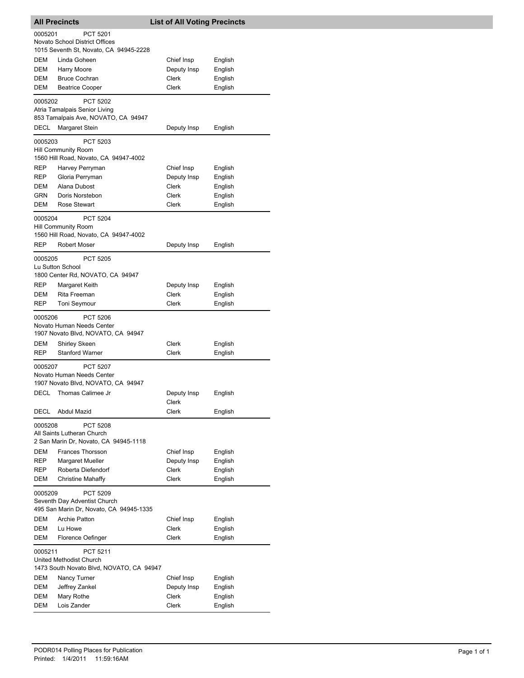| <b>All Precincts</b> |                                                                                                         | <b>List of All Voting Precincts</b> |                    |
|----------------------|---------------------------------------------------------------------------------------------------------|-------------------------------------|--------------------|
| 0005201              | PCT 5201<br><b>Novato School District Offices</b><br>1015 Seventh St, Novato, CA 94945-2228             |                                     |                    |
| DEM                  | Linda Goheen                                                                                            | Chief Insp                          | English            |
| DEM                  | Harry Moore                                                                                             | Deputy Insp                         | English            |
| DEM                  | <b>Bruce Cochran</b>                                                                                    | Clerk                               | English            |
| DEM                  | <b>Beatrice Cooper</b>                                                                                  | Clerk                               | English            |
| 0005202              | PCT 5202<br>Atria Tamalpais Senior Living<br>853 Tamalpais Ave, NOVATO, CA 94947                        |                                     |                    |
| DECL                 | Margaret Stein                                                                                          | Deputy Insp                         | English            |
| 0005203              | PCT 5203<br><b>Hill Community Room</b><br>1560 Hill Road, Novato, CA 94947-4002                         |                                     |                    |
| REP                  | Harvey Perryman                                                                                         | Chief Insp                          | English            |
| REP                  | Gloria Perryman                                                                                         | Deputy Insp                         | English            |
| DEM                  | Alana Dubost                                                                                            | Clerk                               | English            |
| <b>GRN</b>           | Doris Norstebon                                                                                         | Clerk                               | English            |
| DEM                  | Rose Stewart                                                                                            | Clerk                               | English            |
| 0005204              | <b>PCT 5204</b><br>Hill Community Room<br>1560 Hill Road, Novato, CA 94947-4002                         |                                     |                    |
| <b>REP</b>           | <b>Robert Moser</b>                                                                                     | Deputy Insp                         | English            |
| 0005205              | <b>PCT 5205</b><br>Lu Sutton School<br>1800 Center Rd, NOVATO, CA 94947                                 |                                     |                    |
| REP                  | Margaret Keith                                                                                          | Deputy Insp                         | English            |
| DEM                  | Rita Freeman                                                                                            | Clerk                               | English            |
| REP                  | Toni Seymour                                                                                            | Clerk                               | English            |
| 0005206              | <b>PCT 5206</b><br>Novato Human Needs Center<br>1907 Novato Blvd, NOVATO, CA 94947                      |                                     |                    |
| DEM<br>REP           | Shirley Skeen<br><b>Stanford Warner</b>                                                                 | Clerk<br>Clerk                      | English<br>English |
| 0005207<br>DECL      | <b>PCT 5207</b><br>Novato Human Needs Center<br>1907 Novato Blvd, NOVATO, CA 94947<br>Thomas Calimee Jr | Deputy Insp                         | English            |
| DECL                 | Abdul Mazid                                                                                             | Clerk<br>Clerk                      | English            |
| 0005208              | PCT 5208<br>All Saints Lutheran Church<br>2 San Marin Dr, Novato, CA 94945-1118                         |                                     |                    |
| DEM                  | <b>Frances Thorsson</b>                                                                                 | Chief Insp                          | English            |
| REP                  | Margaret Mueller                                                                                        | Deputy Insp                         | English            |
| REP<br>DEM           | Roberta Diefendorf<br><b>Christine Mahaffy</b>                                                          | Clerk<br>Clerk                      | English<br>English |
| 0005209              | PCT 5209<br>Seventh Day Adventist Church<br>495 San Marin Dr, Novato, CA 94945-1335                     |                                     |                    |
| <b>DEM</b>           | <b>Archie Patton</b>                                                                                    | Chief Insp                          | English            |
| <b>DEM</b>           | Lu Howe                                                                                                 | Clerk                               | English            |
| DEM                  | Florence Oefinger                                                                                       | <b>Clerk</b>                        | English            |
| 0005211              | PCT 5211<br>United Methodist Church<br>1473 South Novato Blvd, NOVATO, CA 94947                         |                                     |                    |
| DEM                  | Nancy Turner                                                                                            | Chief Insp                          | English            |
| DEM                  | Jeffrey Zankel                                                                                          | Deputy Insp                         | English            |
| DEM                  | Mary Rothe                                                                                              | Clerk                               | English            |
| DEM                  | Lois Zander                                                                                             | <b>Clerk</b>                        | English            |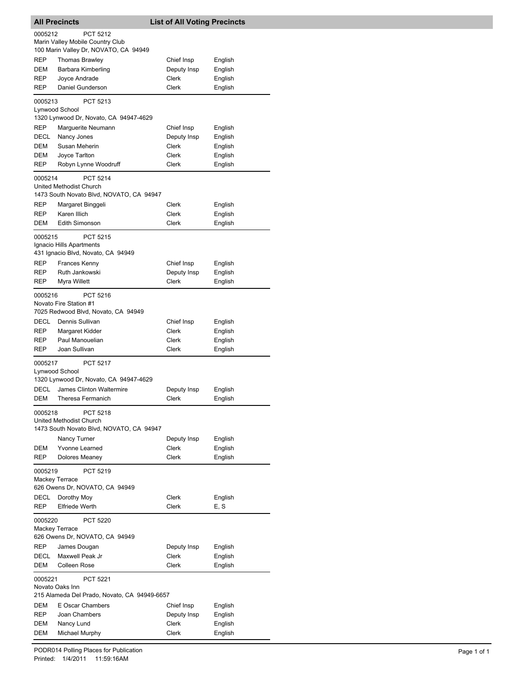|                                                                                | <b>All Precincts</b>                                                            | <b>List of All Voting Precincts</b> |                    |  |
|--------------------------------------------------------------------------------|---------------------------------------------------------------------------------|-------------------------------------|--------------------|--|
| 0005212<br><b>PCT 5212</b><br>Marin Valley Mobile Country Club                 |                                                                                 |                                     |                    |  |
| REP                                                                            | 100 Marin Valley Dr, NOVATO, CA 94949                                           |                                     |                    |  |
| DEM                                                                            | <b>Thomas Brawley</b><br>Barbara Kimberling                                     | Chief Insp<br>Deputy Insp           | English<br>English |  |
| REP                                                                            | Joyce Andrade                                                                   | <b>Clerk</b>                        | English            |  |
| REP                                                                            | Daniel Gunderson                                                                | Clerk                               | English            |  |
| 0005213                                                                        | PCT 5213<br>Lynwood School                                                      |                                     |                    |  |
|                                                                                | 1320 Lynwood Dr, Novato, CA 94947-4629                                          |                                     |                    |  |
| REP                                                                            | Marguerite Neumann                                                              | Chief Insp                          | English            |  |
| DECL                                                                           | Nancy Jones                                                                     | Deputy Insp                         | English            |  |
| DEM                                                                            | Susan Meherin                                                                   | Clerk                               | English            |  |
| DEM                                                                            | Joyce Tarlton                                                                   | Clerk                               | English            |  |
| REP                                                                            | Robyn Lynne Woodruff                                                            | Clerk                               | English            |  |
| 0005214                                                                        | PCT 5214<br>United Methodist Church<br>1473 South Novato Blvd, NOVATO, CA 94947 |                                     |                    |  |
| REP                                                                            | Margaret Binggeli                                                               | Clerk                               | English            |  |
| REP                                                                            | Karen Illich                                                                    | Clerk                               | English            |  |
| DEM                                                                            | Edith Simonson                                                                  | Clerk                               | English            |  |
| 0005215                                                                        | PCT 5215<br>Ignacio Hills Apartments                                            |                                     |                    |  |
|                                                                                | 431 Ignacio Blvd, Novato, CA 94949                                              |                                     |                    |  |
| REP                                                                            | <b>Frances Kenny</b><br>Ruth Jankowski                                          | Chief Insp                          | English            |  |
| REP<br>REP                                                                     | Myra Willett                                                                    | Deputy Insp<br>Clerk                | English<br>English |  |
|                                                                                |                                                                                 |                                     |                    |  |
| 0005216                                                                        | PCT 5216<br>Novato Fire Station #1<br>7025 Redwood Blvd, Novato, CA 94949       |                                     |                    |  |
| DECL                                                                           | Dennis Sullivan                                                                 | Chief Insp                          | English            |  |
| REP                                                                            | Margaret Kidder                                                                 | Clerk                               | English            |  |
| REP                                                                            | Paul Manouelian                                                                 | Clerk                               | English            |  |
| REP                                                                            | Joan Sullivan                                                                   | Clerk                               | English            |  |
| 0005217                                                                        | <b>PCT 5217</b><br>Lynwood School<br>1320 Lynwood Dr, Novato, CA 94947-4629     |                                     |                    |  |
| DECL                                                                           | James Clinton Waltermire                                                        | Deputy Insp                         | English            |  |
| DEM                                                                            | Theresa Fermanich                                                               | Clerk                               | English            |  |
| 0005218<br>PCT 5218<br>United Methodist Church                                 |                                                                                 |                                     |                    |  |
|                                                                                | 1473 South Novato Blvd, NOVATO, CA 94947                                        |                                     |                    |  |
|                                                                                | Nancy Turner                                                                    | Deputy Insp                         | English            |  |
| DEM                                                                            | Yvonne Learned                                                                  | Clerk                               | English            |  |
| REP                                                                            | Dolores Meaney                                                                  | Clerk                               | English            |  |
| 0005219<br>PCT 5219<br><b>Mackey Terrace</b><br>626 Owens Dr, NOVATO, CA 94949 |                                                                                 |                                     |                    |  |
| DECL                                                                           | Dorothy Moy                                                                     | <b>Clerk</b>                        | English            |  |
| <b>REP</b>                                                                     | <b>Elfriede Werth</b>                                                           | Clerk                               | E, S               |  |
|                                                                                |                                                                                 |                                     |                    |  |
| 0005220<br><b>Mackey Terrace</b>                                               | PCT 5220<br>626 Owens Dr, NOVATO, CA 94949                                      |                                     |                    |  |
| REP                                                                            | James Dougan                                                                    | Deputy Insp                         | English            |  |
| DECL                                                                           | Maxwell Peak Jr                                                                 | Clerk                               | English            |  |
| DEM                                                                            | <b>Colleen Rose</b>                                                             | Clerk                               | English            |  |
| 0005221                                                                        | PCT 5221<br>Novato Oaks Inn<br>215 Alameda Del Prado, Novato, CA 94949-6657     |                                     |                    |  |
| DEM                                                                            | E Oscar Chambers                                                                | Chief Insp                          |                    |  |
| REP                                                                            | Joan Chambers                                                                   | Deputy Insp                         | English<br>English |  |
| DEM                                                                            | Nancy Lund                                                                      | <b>Clerk</b>                        | English            |  |
| DEM                                                                            | Michael Murphy                                                                  | Clerk                               | English            |  |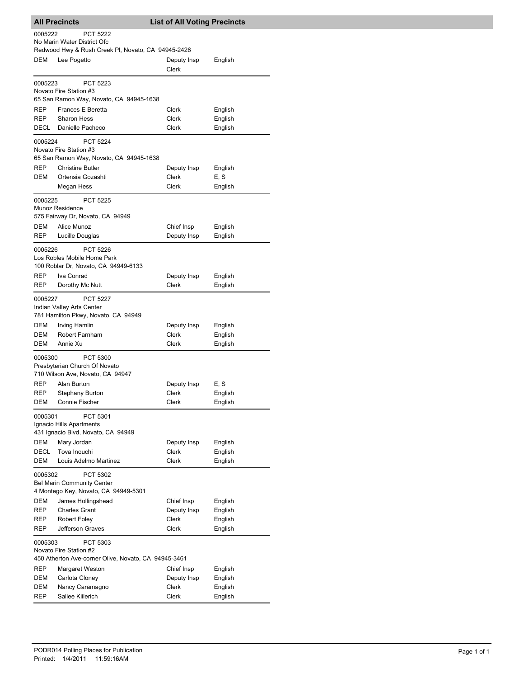|            | All Precincts                                                                         | <b>List of All Voting Precincts</b> |                    |
|------------|---------------------------------------------------------------------------------------|-------------------------------------|--------------------|
| 0005222    | <b>PCT 5222</b><br>No Marin Water District Ofc                                        |                                     |                    |
|            | Redwood Hwy & Rush Creek PI, Novato, CA 94945-2426                                    |                                     |                    |
| DEM        | Lee Pogetto                                                                           | Deputy Insp<br>Clerk                | English            |
| 0005223    | <b>PCT 5223</b><br>Novato Fire Station #3                                             |                                     |                    |
|            | 65 San Ramon Way, Novato, CA 94945-1638                                               |                                     |                    |
| REP        | Frances E Beretta                                                                     | Clerk                               | English            |
| REP        | <b>Sharon Hess</b>                                                                    | Clerk                               | English            |
| DECL       | Danielle Pacheco                                                                      | Clerk                               | English            |
| 0005224    | <b>PCT 5224</b>                                                                       |                                     |                    |
|            | Novato Fire Station #3                                                                |                                     |                    |
|            | 65 San Ramon Way, Novato, CA 94945-1638                                               |                                     |                    |
| REP<br>DEM | <b>Christine Butler</b><br>Ortensia Gozashti                                          | Deputy Insp<br>Clerk                | English<br>E, S    |
|            | Megan Hess                                                                            | Clerk                               | English            |
|            |                                                                                       |                                     |                    |
| 0005225    | <b>PCT 5225</b>                                                                       |                                     |                    |
|            | Munoz Residence<br>575 Fairway Dr, Novato, CA 94949                                   |                                     |                    |
| DEM        | Alice Munoz                                                                           | Chief Insp                          | English            |
| REP        | Lucille Douglas                                                                       | Deputy Insp                         | English            |
|            |                                                                                       |                                     |                    |
| 0005226    | <b>PCT 5226</b><br>Los Robles Mobile Home Park                                        |                                     |                    |
|            | 100 Roblar Dr, Novato, CA 94949-6133                                                  |                                     |                    |
| REP        | Iva Conrad                                                                            | Deputy Insp                         | English            |
| REP        | Dorothy Mc Nutt                                                                       | Clerk                               | English            |
|            |                                                                                       |                                     |                    |
| 0005227    | <b>PCT 5227</b><br>Indian Valley Arts Center                                          |                                     |                    |
|            | 781 Hamilton Pkwy, Novato, CA 94949                                                   |                                     |                    |
| DEM        | Irving Hamlin                                                                         | Deputy Insp                         | English            |
| DEM        | Robert Farnham                                                                        | Clerk                               | English            |
| DEM        | Annie Xu                                                                              | Clerk                               | English            |
| 0005300    | <b>PCT 5300</b>                                                                       |                                     |                    |
|            | Presbyterian Church Of Novato                                                         |                                     |                    |
|            | 710 Wilson Ave, Novato, CA 94947                                                      |                                     |                    |
| REP        | Alan Burton                                                                           | Deputy Insp                         | E, S               |
| REP        | <b>Stephany Burton</b>                                                                | Clerk                               | English            |
| DEM        | Connie Fischer                                                                        | Clerk                               | English            |
| 0005301    | PCT 5301                                                                              |                                     |                    |
|            | Ignacio Hills Apartments                                                              |                                     |                    |
|            | 431 Ignacio Blvd, Novato, CA 94949                                                    |                                     |                    |
| DEM        | Mary Jordan                                                                           | Deputy Insp                         | English            |
| DECL       | Tova Inouchi                                                                          | Clerk                               | English            |
| DEM        | Louis Adelmo Martinez                                                                 | Clerk                               | English            |
| 0005302    | PCT 5302<br><b>Bel Marin Community Center</b><br>4 Montego Key, Novato, CA 94949-5301 |                                     |                    |
| DEM        | James Hollingshead                                                                    | Chief Insp                          | English            |
| REP        | <b>Charles Grant</b>                                                                  | Deputy Insp                         | English            |
| REP        | <b>Robert Foley</b>                                                                   | Clerk                               | English            |
| REP        | Jefferson Graves                                                                      | Clerk                               | English            |
| 0005303    | PCT 5303                                                                              |                                     |                    |
|            | Novato Fire Station #2                                                                |                                     |                    |
|            | 450 Atherton Ave-corner Olive, Novato, CA 94945-3461                                  |                                     |                    |
| REP        | Margaret Weston                                                                       | Chief Insp                          | English            |
| DEM        | Carlota Cloney                                                                        | Deputy Insp                         | English            |
| DEM<br>REP | Nancy Caramagno<br>Sallee Kiilerich                                                   | Clerk<br>Clerk                      | English<br>English |
|            |                                                                                       |                                     |                    |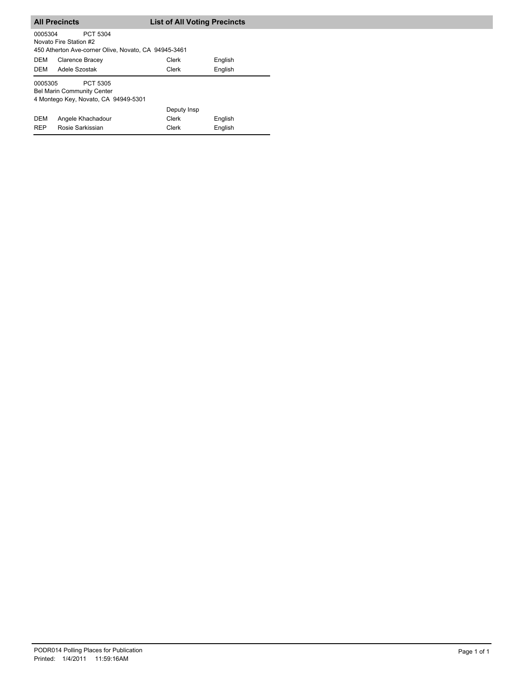|                                                                                                  | <b>All Precincts</b>                                                                       | <b>List of All Voting Precincts</b> |         |  |  |
|--------------------------------------------------------------------------------------------------|--------------------------------------------------------------------------------------------|-------------------------------------|---------|--|--|
| 0005304                                                                                          | PCT 5304<br>Novato Fire Station #2<br>450 Atherton Ave-corner Olive, Novato, CA 94945-3461 |                                     |         |  |  |
| <b>DEM</b>                                                                                       | Clarence Bracey                                                                            | Clerk                               | English |  |  |
| DEM                                                                                              | Adele Szostak                                                                              | Clerk                               | English |  |  |
| 0005305<br>PCT 5305<br><b>Bel Marin Community Center</b><br>4 Montego Key, Novato, CA 94949-5301 |                                                                                            |                                     |         |  |  |
|                                                                                                  |                                                                                            | Deputy Insp                         |         |  |  |
| <b>DEM</b>                                                                                       | Angele Khachadour                                                                          | Clerk                               | English |  |  |
| <b>REP</b>                                                                                       | Rosie Sarkissian                                                                           | Clerk                               | English |  |  |